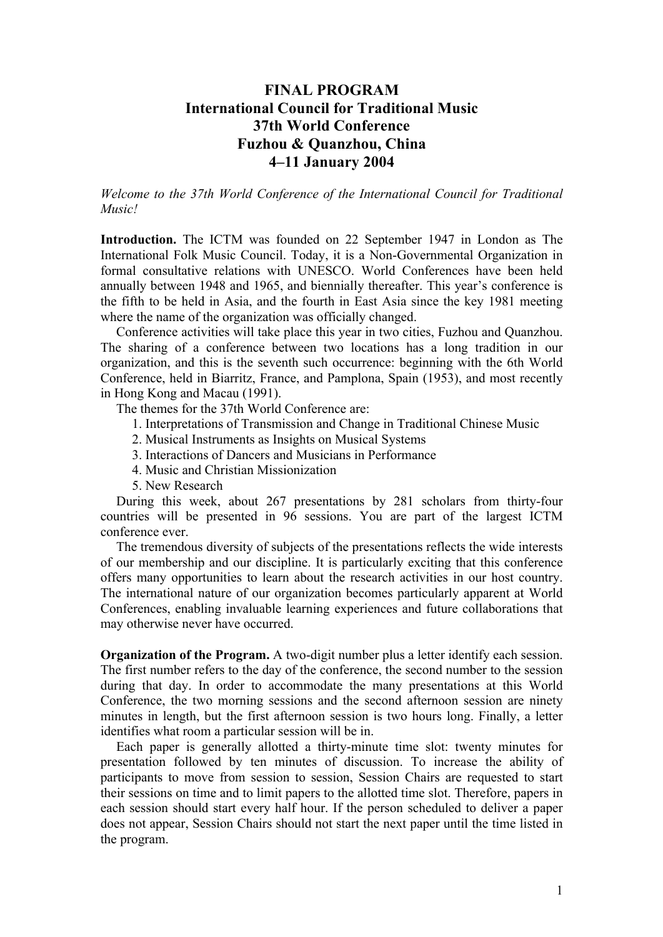# **FINAL PROGRAM International Council for Traditional Music 37th World Conference Fuzhou & Quanzhou, China 4–11 January 2004**

#### *Welcome to the 37th World Conference of the International Council for Traditional Music!*

**Introduction.** The ICTM was founded on 22 September 1947 in London as The International Folk Music Council. Today, it is a Non-Governmental Organization in formal consultative relations with UNESCO. World Conferences have been held annually between 1948 and 1965, and biennially thereafter. This year's conference is the fifth to be held in Asia, and the fourth in East Asia since the key 1981 meeting where the name of the organization was officially changed.

Conference activities will take place this year in two cities, Fuzhou and Quanzhou. The sharing of a conference between two locations has a long tradition in our organization, and this is the seventh such occurrence: beginning with the 6th World Conference, held in Biarritz, France, and Pamplona, Spain (1953), and most recently in Hong Kong and Macau (1991).

The themes for the 37th World Conference are:

- 1. Interpretations of Transmission and Change in Traditional Chinese Music
- 2. Musical Instruments as Insights on Musical Systems
- 3. Interactions of Dancers and Musicians in Performance
- 4. Music and Christian Missionization
- 5. New Research

During this week, about 267 presentations by 281 scholars from thirty-four countries will be presented in 96 sessions. You are part of the largest ICTM conference ever.

The tremendous diversity of subjects of the presentations reflects the wide interests of our membership and our discipline. It is particularly exciting that this conference offers many opportunities to learn about the research activities in our host country. The international nature of our organization becomes particularly apparent at World Conferences, enabling invaluable learning experiences and future collaborations that may otherwise never have occurred.

**Organization of the Program.** A two-digit number plus a letter identify each session. The first number refers to the day of the conference, the second number to the session during that day. In order to accommodate the many presentations at this World Conference, the two morning sessions and the second afternoon session are ninety minutes in length, but the first afternoon session is two hours long. Finally, a letter identifies what room a particular session will be in.

Each paper is generally allotted a thirty-minute time slot: twenty minutes for presentation followed by ten minutes of discussion. To increase the ability of participants to move from session to session, Session Chairs are requested to start their sessions on time and to limit papers to the allotted time slot. Therefore, papers in each session should start every half hour. If the person scheduled to deliver a paper does not appear, Session Chairs should not start the next paper until the time listed in the program.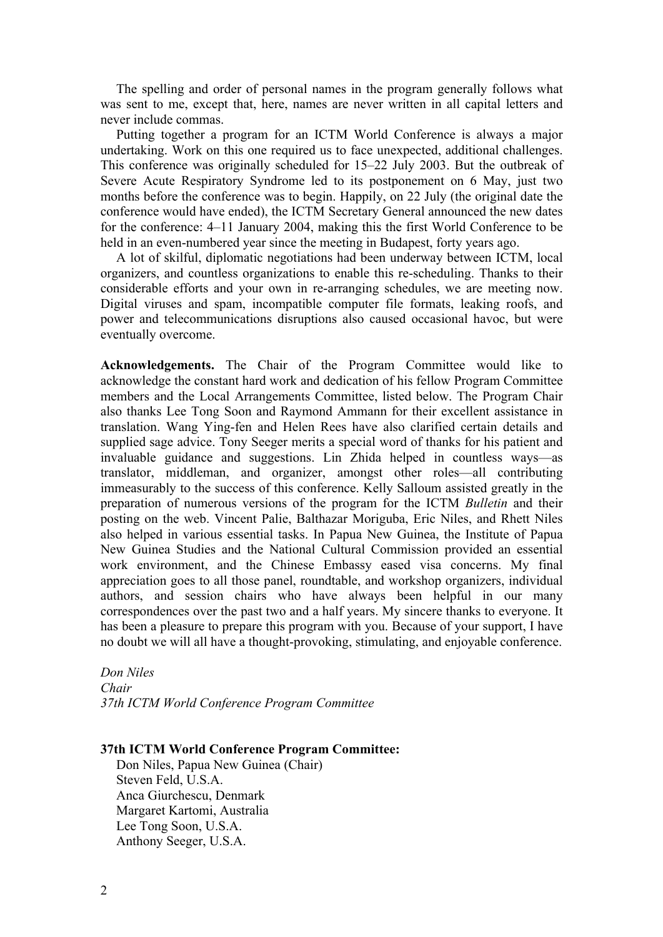The spelling and order of personal names in the program generally follows what was sent to me, except that, here, names are never written in all capital letters and never include commas.

Putting together a program for an ICTM World Conference is always a major undertaking. Work on this one required us to face unexpected, additional challenges. This conference was originally scheduled for 15–22 July 2003. But the outbreak of Severe Acute Respiratory Syndrome led to its postponement on 6 May, just two months before the conference was to begin. Happily, on 22 July (the original date the conference would have ended), the ICTM Secretary General announced the new dates for the conference: 4–11 January 2004, making this the first World Conference to be held in an even-numbered year since the meeting in Budapest, forty years ago.

A lot of skilful, diplomatic negotiations had been underway between ICTM, local organizers, and countless organizations to enable this re-scheduling. Thanks to their considerable efforts and your own in re-arranging schedules, we are meeting now. Digital viruses and spam, incompatible computer file formats, leaking roofs, and power and telecommunications disruptions also caused occasional havoc, but were eventually overcome.

**Acknowledgements.** The Chair of the Program Committee would like to acknowledge the constant hard work and dedication of his fellow Program Committee members and the Local Arrangements Committee, listed below. The Program Chair also thanks Lee Tong Soon and Raymond Ammann for their excellent assistance in translation. Wang Ying-fen and Helen Rees have also clarified certain details and supplied sage advice. Tony Seeger merits a special word of thanks for his patient and invaluable guidance and suggestions. Lin Zhida helped in countless ways—as translator, middleman, and organizer, amongst other roles—all contributing immeasurably to the success of this conference. Kelly Salloum assisted greatly in the preparation of numerous versions of the program for the ICTM *Bulletin* and their posting on the web. Vincent Palie, Balthazar Moriguba, Eric Niles, and Rhett Niles also helped in various essential tasks. In Papua New Guinea, the Institute of Papua New Guinea Studies and the National Cultural Commission provided an essential work environment, and the Chinese Embassy eased visa concerns. My final appreciation goes to all those panel, roundtable, and workshop organizers, individual authors, and session chairs who have always been helpful in our many correspondences over the past two and a half years. My sincere thanks to everyone. It has been a pleasure to prepare this program with you. Because of your support, I have no doubt we will all have a thought-provoking, stimulating, and enjoyable conference.

*Don Niles Chair 37th ICTM World Conference Program Committee*

#### **37th ICTM World Conference Program Committee:**

Don Niles, Papua New Guinea (Chair) Steven Feld, U.S.A. Anca Giurchescu, Denmark Margaret Kartomi, Australia Lee Tong Soon, U.S.A. Anthony Seeger, U.S.A.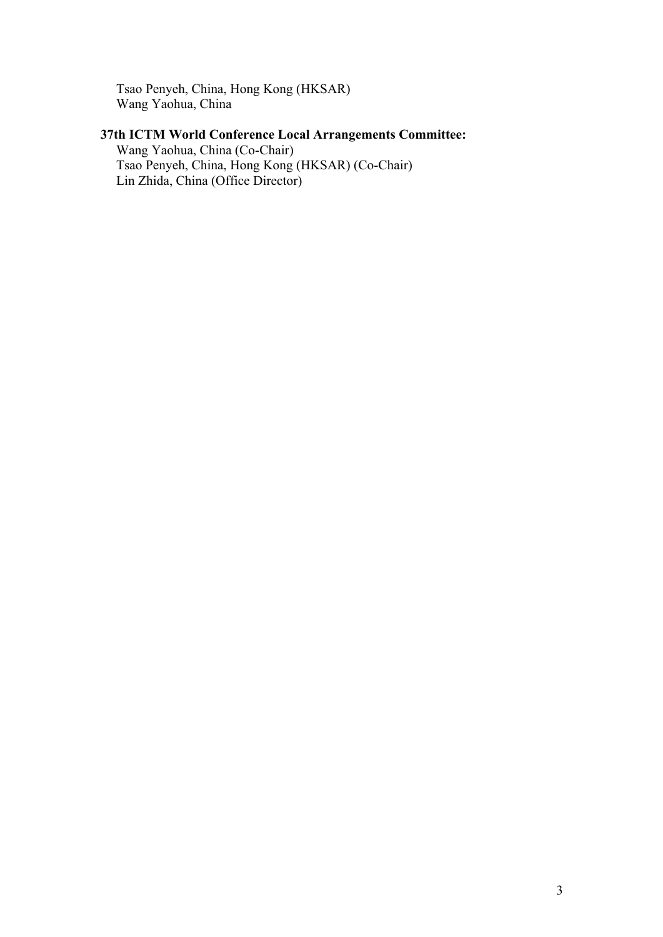Tsao Penyeh, China, Hong Kong (HKSAR) Wang Yaohua, China

# **37th ICTM World Conference Local Arrangements Committee:**

Wang Yaohua, China (Co-Chair) Tsao Penyeh, China, Hong Kong (HKSAR) (Co-Chair) Lin Zhida, China (Office Director)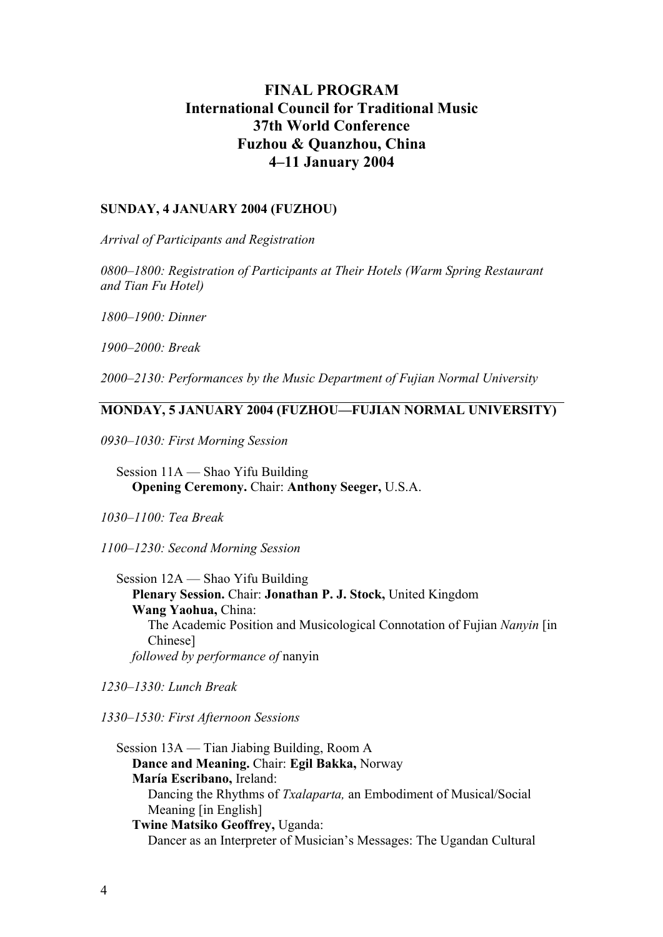# **FINAL PROGRAM International Council for Traditional Music 37th World Conference Fuzhou & Quanzhou, China 4–11 January 2004**

# **SUNDAY, 4 JANUARY 2004 (FUZHOU)**

*Arrival of Participants and Registration*

*0800–1800: Registration of Participants at Their Hotels (Warm Spring Restaurant and Tian Fu Hotel)*

*1800–1900: Dinner*

*1900–2000: Break*

*2000–2130: Performances by the Music Department of Fujian Normal University*

# **MONDAY, 5 JANUARY 2004 (FUZHOU—FUJIAN NORMAL UNIVERSITY)**

*0930–1030: First Morning Session*

Session 11A — Shao Yifu Building **Opening Ceremony.** Chair: **Anthony Seeger,** U.S.A.

*1030–1100: Tea Break*

*1100–1230: Second Morning Session*

Session 12A — Shao Yifu Building **Plenary Session.** Chair: **Jonathan P. J. Stock,** United Kingdom **Wang Yaohua,** China: The Academic Position and Musicological Connotation of Fujian *Nanyin* [in Chinese] *followed by performance of* nanyin

*1230–1330: Lunch Break*

*1330–1530: First Afternoon Sessions*

Session 13A — Tian Jiabing Building, Room A **Dance and Meaning.** Chair: **Egil Bakka,** Norway **María Escribano,** Ireland: Dancing the Rhythms of *Txalaparta,* an Embodiment of Musical/Social Meaning [in English] **Twine Matsiko Geoffrey,** Uganda: Dancer as an Interpreter of Musician's Messages: The Ugandan Cultural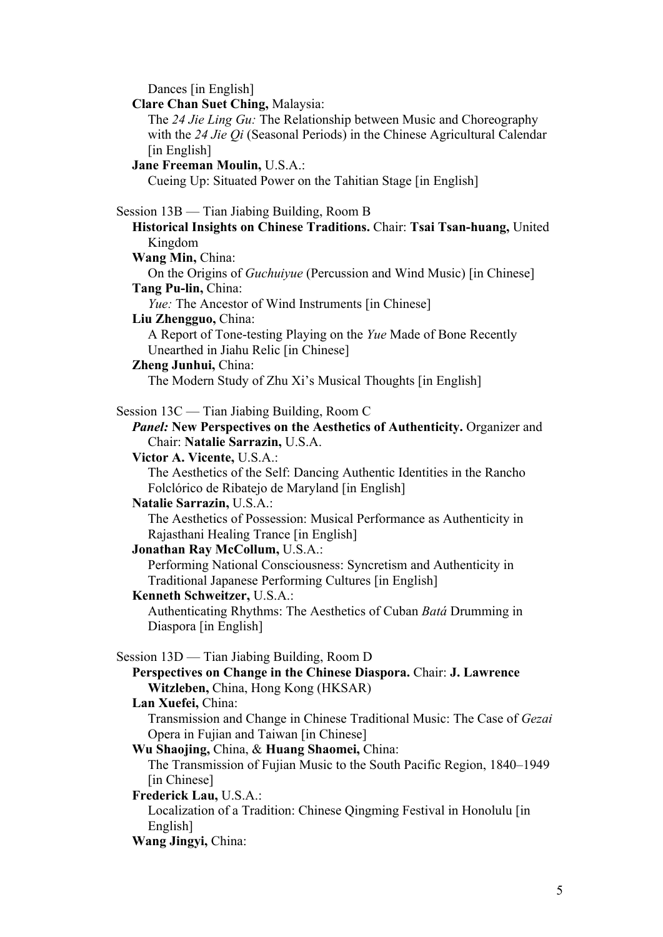Dances [in English]

**Clare Chan Suet Ching,** Malaysia: The *24 Jie Ling Gu:* The Relationship between Music and Choreography with the *24 Jie Qi* (Seasonal Periods) in the Chinese Agricultural Calendar [in English] **Jane Freeman Moulin,** U.S.A.: Cueing Up: Situated Power on the Tahitian Stage [in English] Session 13B — Tian Jiabing Building, Room B **Historical Insights on Chinese Traditions.** Chair: **Tsai Tsan-huang,** United Kingdom **Wang Min,** China: On the Origins of *Guchuiyue* (Percussion and Wind Music) [in Chinese] **Tang Pu-lin,** China: *Yue:* The Ancestor of Wind Instruments [in Chinese] **Liu Zhengguo,** China: A Report of Tone-testing Playing on the *Yue* Made of Bone Recently Unearthed in Jiahu Relic [in Chinese] **Zheng Junhui,** China: The Modern Study of Zhu Xi's Musical Thoughts [in English] Session 13C — Tian Jiabing Building, Room C *Panel:* **New Perspectives on the Aesthetics of Authenticity.** Organizer and Chair: **Natalie Sarrazin,** U.S.A. **Victor A. Vicente,** U.S.A.: The Aesthetics of the Self: Dancing Authentic Identities in the Rancho Folclórico de Ribatejo de Maryland [in English] **Natalie Sarrazin,** U.S.A.: The Aesthetics of Possession: Musical Performance as Authenticity in Rajasthani Healing Trance [in English] **Jonathan Ray McCollum,** U.S.A.: Performing National Consciousness: Syncretism and Authenticity in Traditional Japanese Performing Cultures [in English] **Kenneth Schweitzer,** U.S.A.: Authenticating Rhythms: The Aesthetics of Cuban *Batá* Drumming in Diaspora [in English] Session 13D — Tian Jiabing Building, Room D **Perspectives on Change in the Chinese Diaspora.** Chair: **J. Lawrence Witzleben,** China, Hong Kong (HKSAR) **Lan Xuefei,** China: Transmission and Change in Chinese Traditional Music: The Case of *Gezai* Opera in Fujian and Taiwan [in Chinese] **Wu Shaojing,** China, & **Huang Shaomei,** China: The Transmission of Fujian Music to the South Pacific Region, 1840–1949 [in Chinese] **Frederick Lau,** U.S.A.: Localization of a Tradition: Chinese Qingming Festival in Honolulu [in English] **Wang Jingyi,** China: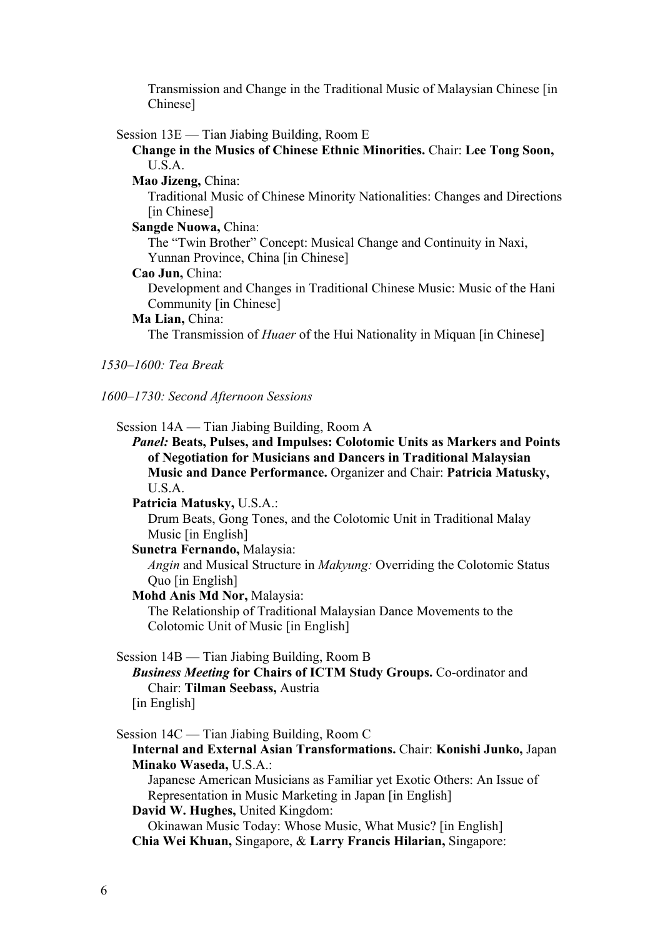Transmission and Change in the Traditional Music of Malaysian Chinese [in Chinese]

#### Session 13E — Tian Jiabing Building, Room E

#### **Change in the Musics of Chinese Ethnic Minorities.** Chair: **Lee Tong Soon,**  U.S.A.

**Mao Jizeng,** China:

Traditional Music of Chinese Minority Nationalities: Changes and Directions [in Chinese]

**Sangde Nuowa,** China:

The "Twin Brother" Concept: Musical Change and Continuity in Naxi, Yunnan Province, China [in Chinese]

# **Cao Jun,** China:

Development and Changes in Traditional Chinese Music: Music of the Hani Community [in Chinese]

**Ma Lian,** China:

The Transmission of *Huaer* of the Hui Nationality in Miquan [in Chinese]

#### *1530–1600: Tea Break*

*1600–1730: Second Afternoon Sessions*

| Session 14A — Tian Jiabing Building, Room A                                      |
|----------------------------------------------------------------------------------|
| <i>Panel: Beats, Pulses, and Impulses: Colotomic Units as Markers and Points</i> |
| of Negotiation for Musicians and Dancers in Traditional Malaysian                |
| Music and Dance Performance. Organizer and Chair: Patricia Matusky,              |
| U.S.A.                                                                           |

**Patricia Matusky,** U.S.A.:

Drum Beats, Gong Tones, and the Colotomic Unit in Traditional Malay Music [in English]

**Sunetra Fernando,** Malaysia:

*Angin* and Musical Structure in *Makyung:* Overriding the Colotomic Status Quo [in English]

**Mohd Anis Md Nor,** Malaysia:

The Relationship of Traditional Malaysian Dance Movements to the Colotomic Unit of Music [in English]

Session 14B — Tian Jiabing Building, Room B

*Business Meeting* **for Chairs of ICTM Study Groups.** Co-ordinator and Chair: **Tilman Seebass,** Austria [in English]

Session 14C — Tian Jiabing Building, Room C

**Internal and External Asian Transformations.** Chair: **Konishi Junko,** Japan **Minako Waseda,** U.S.A.:

Japanese American Musicians as Familiar yet Exotic Others: An Issue of Representation in Music Marketing in Japan [in English]

**David W. Hughes,** United Kingdom:

Okinawan Music Today: Whose Music, What Music? [in English] **Chia Wei Khuan,** Singapore, & **Larry Francis Hilarian,** Singapore: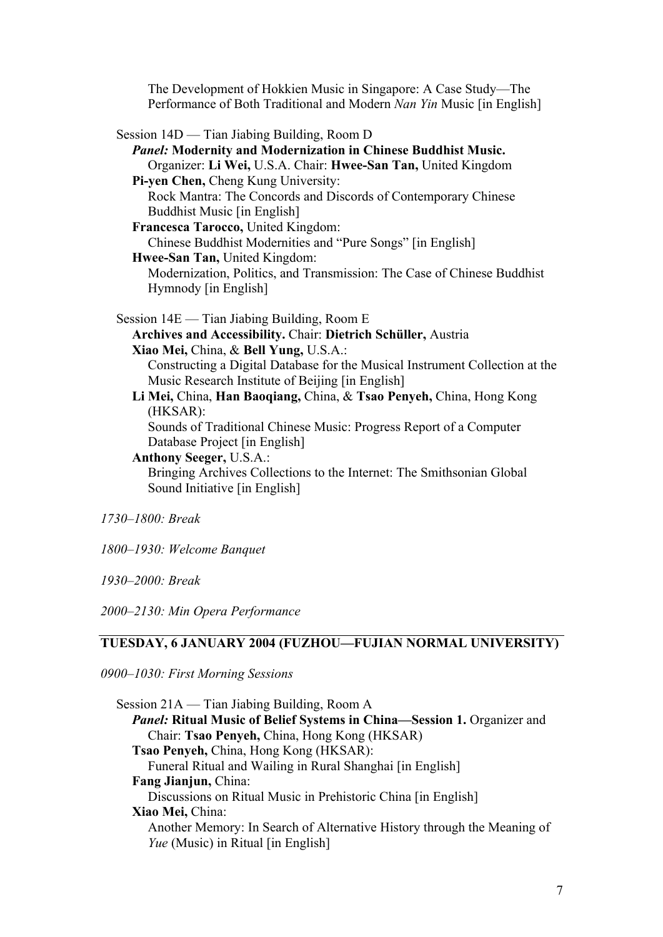The Development of Hokkien Music in Singapore: A Case Study—The Performance of Both Traditional and Modern *Nan Yin* Music [in English]

| Session 14D — Tian Jiabing Building, Room D                                  |
|------------------------------------------------------------------------------|
| <b>Panel: Modernity and Modernization in Chinese Buddhist Music.</b>         |
| Organizer: Li Wei, U.S.A. Chair: Hwee-San Tan, United Kingdom                |
| Pi-yen Chen, Cheng Kung University:                                          |
| Rock Mantra: The Concords and Discords of Contemporary Chinese               |
| Buddhist Music [in English]                                                  |
| Francesca Tarocco, United Kingdom:                                           |
| Chinese Buddhist Modernities and "Pure Songs" [in English]                   |
| Hwee-San Tan, United Kingdom:                                                |
| Modernization, Politics, and Transmission: The Case of Chinese Buddhist      |
| Hymnody [in English]                                                         |
|                                                                              |
| Session $14E$ — Tian Jiabing Building, Room E                                |
| Archives and Accessibility. Chair: Dietrich Schüller, Austria                |
| Xiao Mei, China, & Bell Yung, U.S.A.:                                        |
| Constructing a Digital Database for the Musical Instrument Collection at the |
| Music Research Institute of Beijing [in English]                             |
| Li Mei, China, Han Baoqiang, China, & Tsao Penyeh, China, Hong Kong          |
| (HKSAR):                                                                     |
| Sounds of Traditional Chinese Music: Progress Report of a Computer           |
| Database Project [in English]                                                |
| <b>Anthony Seeger, U.S.A.:</b>                                               |
| Bringing Archives Collections to the Internet: The Smithsonian Global        |
| Sound Initiative [in English]                                                |
|                                                                              |
| 1730-1800: Break                                                             |
|                                                                              |
| 1800–1930: Welcome Banquet                                                   |
|                                                                              |

*1930–2000: Break*

*2000–2130: Min Opera Performance*

# **TUESDAY, 6 JANUARY 2004 (FUZHOU—FUJIAN NORMAL UNIVERSITY)**

*0900–1030: First Morning Sessions*

| Session $21A -$ Tian Jiabing Building, Room A                                  |
|--------------------------------------------------------------------------------|
| <b>Panel: Ritual Music of Belief Systems in China—Session 1. Organizer and</b> |
| Chair: Tsao Penyeh, China, Hong Kong (HKSAR)                                   |
| Tsao Penyeh, China, Hong Kong (HKSAR):                                         |
| Funeral Ritual and Wailing in Rural Shanghai [in English]                      |
| Fang Jianjun, China:                                                           |
| Discussions on Ritual Music in Prehistoric China [in English]                  |
| Xiao Mei, China:                                                               |
| Another Memory: In Search of Alternative History through the Meaning of        |
| <i>Yue</i> (Music) in Ritual [in English]                                      |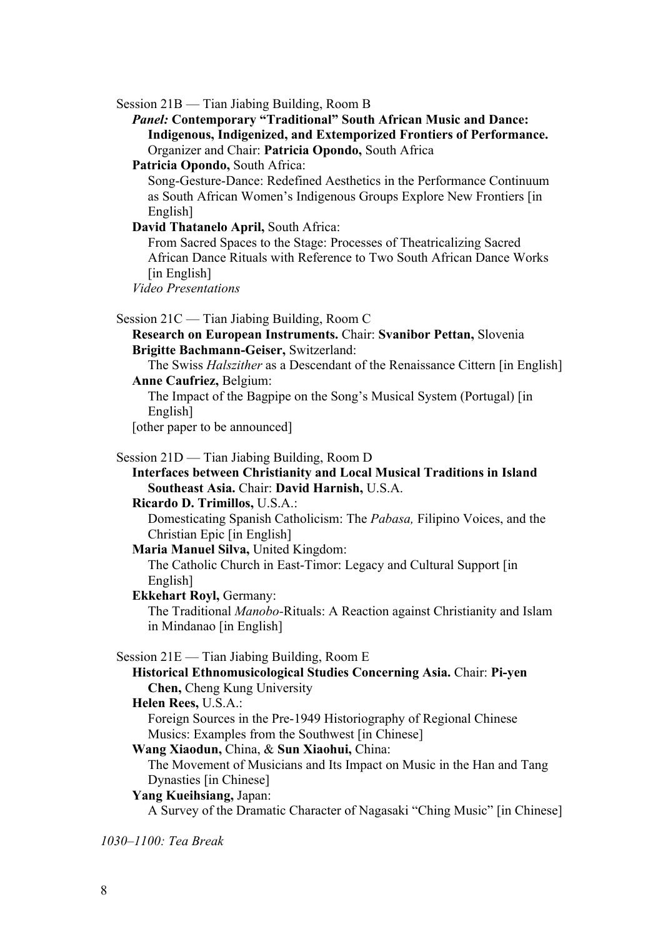Session 21B — Tian Jiabing Building, Room B

*Panel:* **Contemporary "Traditional" South African Music and Dance: Indigenous, Indigenized, and Extemporized Frontiers of Performance.** Organizer and Chair: **Patricia Opondo,** South Africa

**Patricia Opondo,** South Africa:

Song-Gesture-Dance: Redefined Aesthetics in the Performance Continuum as South African Women's Indigenous Groups Explore New Frontiers [in English]

# **David Thatanelo April,** South Africa:

From Sacred Spaces to the Stage: Processes of Theatricalizing Sacred African Dance Rituals with Reference to Two South African Dance Works [in English]

*Video Presentations*

# Session 21C — Tian Jiabing Building, Room C

**Research on European Instruments.** Chair: **Svanibor Pettan,** Slovenia **Brigitte Bachmann-Geiser,** Switzerland:

The Swiss *Halszither* as a Descendant of the Renaissance Cittern [in English] **Anne Caufriez,** Belgium:

The Impact of the Bagpipe on the Song's Musical System (Portugal) [in English]

[other paper to be announced]

#### Session 21D — Tian Jiabing Building, Room D

# **Interfaces between Christianity and Local Musical Traditions in Island Southeast Asia.** Chair: **David Harnish,** U.S.A.

#### **Ricardo D. Trimillos,** U.S.A.:

Domesticating Spanish Catholicism: The *Pabasa,* Filipino Voices, and the Christian Epic [in English]

# **Maria Manuel Silva,** United Kingdom:

The Catholic Church in East-Timor: Legacy and Cultural Support [in English]

**Ekkehart Royl,** Germany:

The Traditional *Manobo-*Rituals: A Reaction against Christianity and Islam in Mindanao [in English]

#### Session 21E — Tian Jiabing Building, Room E

**Historical Ethnomusicological Studies Concerning Asia.** Chair: **Pi-yen Chen,** Cheng Kung University

**Helen Rees,** U.S.A.:

Foreign Sources in the Pre-1949 Historiography of Regional Chinese Musics: Examples from the Southwest [in Chinese]

# **Wang Xiaodun,** China, & **Sun Xiaohui,** China:

The Movement of Musicians and Its Impact on Music in the Han and Tang Dynasties [in Chinese]

#### **Yang Kueihsiang,** Japan:

A Survey of the Dramatic Character of Nagasaki "Ching Music" [in Chinese]

*1030–1100: Tea Break*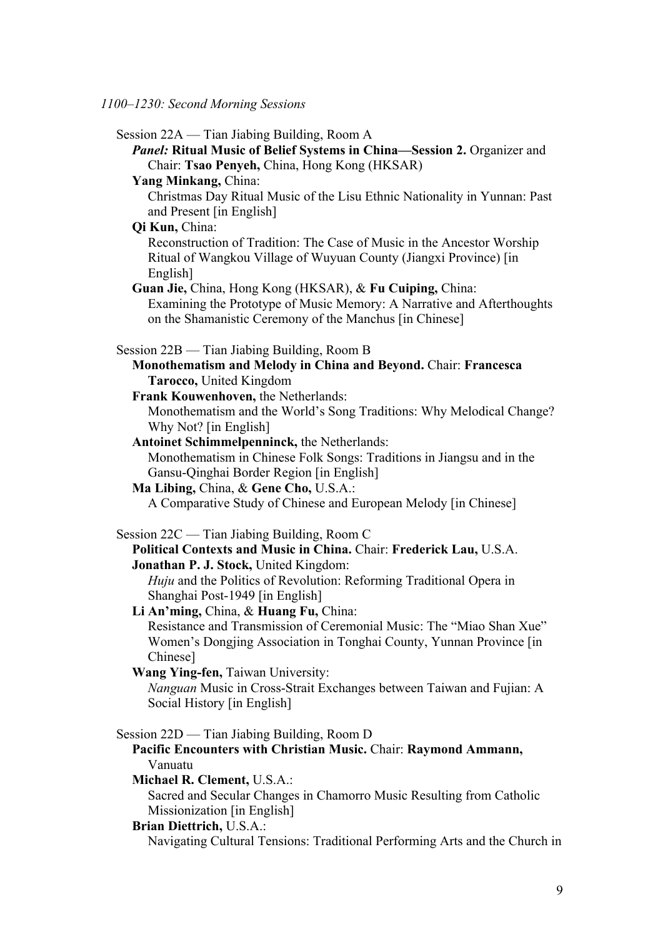| Session 22A — Tian Jiabing Building, Room A<br><b>Panel: Ritual Music of Belief Systems in China—Session 2. Organizer and</b><br>Chair: Tsao Penyeh, China, Hong Kong (HKSAR)<br>Yang Minkang, China:                                                                                                                                                                                                                                                                                                                                                                                                                                                                                           |
|-------------------------------------------------------------------------------------------------------------------------------------------------------------------------------------------------------------------------------------------------------------------------------------------------------------------------------------------------------------------------------------------------------------------------------------------------------------------------------------------------------------------------------------------------------------------------------------------------------------------------------------------------------------------------------------------------|
| Christmas Day Ritual Music of the Lisu Ethnic Nationality in Yunnan: Past<br>and Present [in English]                                                                                                                                                                                                                                                                                                                                                                                                                                                                                                                                                                                           |
| Qi Kun, China:<br>Reconstruction of Tradition: The Case of Music in the Ancestor Worship<br>Ritual of Wangkou Village of Wuyuan County (Jiangxi Province) [in<br>English]                                                                                                                                                                                                                                                                                                                                                                                                                                                                                                                       |
| Guan Jie, China, Hong Kong (HKSAR), & Fu Cuiping, China:<br>Examining the Prototype of Music Memory: A Narrative and Afterthoughts<br>on the Shamanistic Ceremony of the Manchus [in Chinese]                                                                                                                                                                                                                                                                                                                                                                                                                                                                                                   |
| Session 22B — Tian Jiabing Building, Room B<br>Monothematism and Melody in China and Beyond. Chair: Francesca<br>Tarocco, United Kingdom                                                                                                                                                                                                                                                                                                                                                                                                                                                                                                                                                        |
| Frank Kouwenhoven, the Netherlands:<br>Monothematism and the World's Song Traditions: Why Melodical Change?<br>Why Not? [in English]                                                                                                                                                                                                                                                                                                                                                                                                                                                                                                                                                            |
| <b>Antoinet Schimmelpenninck, the Netherlands:</b><br>Monothematism in Chinese Folk Songs: Traditions in Jiangsu and in the<br>Gansu-Qinghai Border Region [in English]<br>Ma Libing, China, & Gene Cho, U.S.A.:                                                                                                                                                                                                                                                                                                                                                                                                                                                                                |
| A Comparative Study of Chinese and European Melody [in Chinese]<br>Session 22C — Tian Jiabing Building, Room C<br>Political Contexts and Music in China. Chair: Frederick Lau, U.S.A.<br>Jonathan P. J. Stock, United Kingdom:<br>Huju and the Politics of Revolution: Reforming Traditional Opera in<br>Shanghai Post-1949 [in English]<br>Li An'ming, China, & Huang Fu, China:<br>Resistance and Transmission of Ceremonial Music: The "Miao Shan Xue"<br>Women's Dongjing Association in Tonghai County, Yunnan Province [in<br>Chinese]<br><b>Wang Ying-fen, Taiwan University:</b><br>Nanguan Music in Cross-Strait Exchanges between Taiwan and Fujian: A<br>Social History [in English] |
| Session 22D — Tian Jiabing Building, Room D<br>Pacific Encounters with Christian Music. Chair: Raymond Ammann,<br>Vanuatu<br>Michael R. Clement, U.S.A.:<br>Sacred and Secular Changes in Chamorro Music Resulting from Catholic<br>Missionization [in English]<br>Brian Diettrich, U.S.A.:<br>Navigating Cultural Tensions: Traditional Performing Arts and the Church in                                                                                                                                                                                                                                                                                                                      |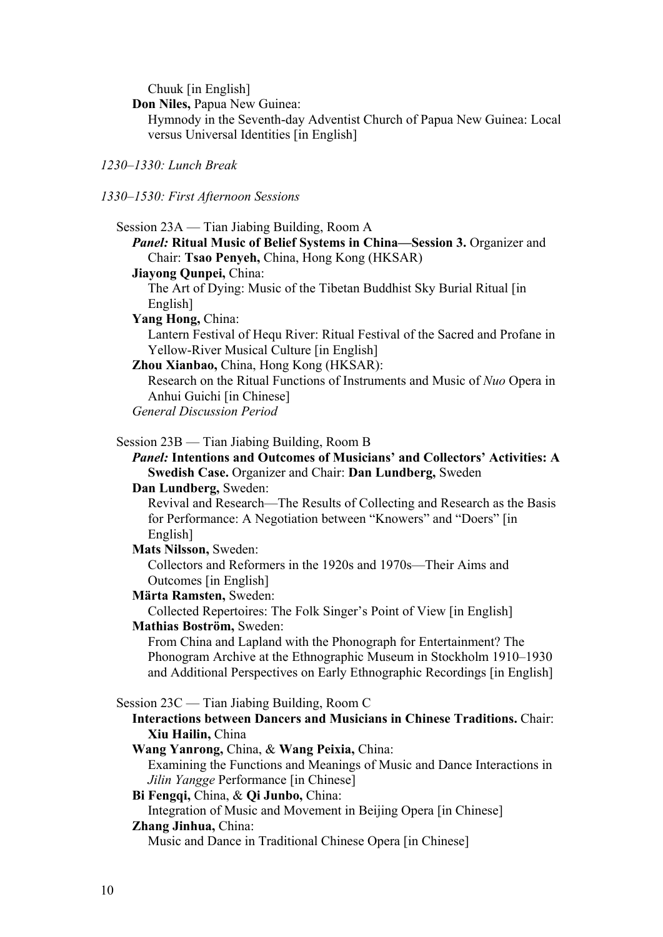Chuuk [in English]

**Don Niles,** Papua New Guinea:

Hymnody in the Seventh-day Adventist Church of Papua New Guinea: Local versus Universal Identities [in English]

# *1230–1330: Lunch Break*

#### *1330–1530: First Afternoon Sessions*

Session 23A — Tian Jiabing Building, Room A

*Panel:* **Ritual Music of Belief Systems in China—Session 3.** Organizer and Chair: **Tsao Penyeh,** China, Hong Kong (HKSAR)

**Jiayong Qunpei,** China:

The Art of Dying: Music of the Tibetan Buddhist Sky Burial Ritual [in English]

**Yang Hong,** China:

Lantern Festival of Hequ River: Ritual Festival of the Sacred and Profane in Yellow-River Musical Culture [in English]

**Zhou Xianbao,** China, Hong Kong (HKSAR):

Research on the Ritual Functions of Instruments and Music of *Nuo* Opera in Anhui Guichi [in Chinese]

*General Discussion Period*

#### Session 23B — Tian Jiabing Building, Room B

# *Panel:* **Intentions and Outcomes of Musicians' and Collectors' Activities: A Swedish Case.** Organizer and Chair: **Dan Lundberg,** Sweden

# **Dan Lundberg,** Sweden:

Revival and Research—The Results of Collecting and Research as the Basis for Performance: A Negotiation between "Knowers" and "Doers" [in English]

#### **Mats Nilsson,** Sweden:

Collectors and Reformers in the 1920s and 1970s—Their Aims and Outcomes [in English]

#### **Märta Ramsten,** Sweden:

Collected Repertoires: The Folk Singer's Point of View [in English] **Mathias Boström,** Sweden:

From China and Lapland with the Phonograph for Entertainment? The Phonogram Archive at the Ethnographic Museum in Stockholm 1910–1930 and Additional Perspectives on Early Ethnographic Recordings [in English]

Session 23C — Tian Jiabing Building, Room C

# **Interactions between Dancers and Musicians in Chinese Traditions.** Chair: **Xiu Hailin,** China

**Wang Yanrong,** China, & **Wang Peixia,** China:

Examining the Functions and Meanings of Music and Dance Interactions in *Jilin Yangge* Performance [in Chinese]

#### **Bi Fengqi,** China, & **Qi Junbo,** China:

Integration of Music and Movement in Beijing Opera [in Chinese] **Zhang Jinhua,** China:

Music and Dance in Traditional Chinese Opera [in Chinese]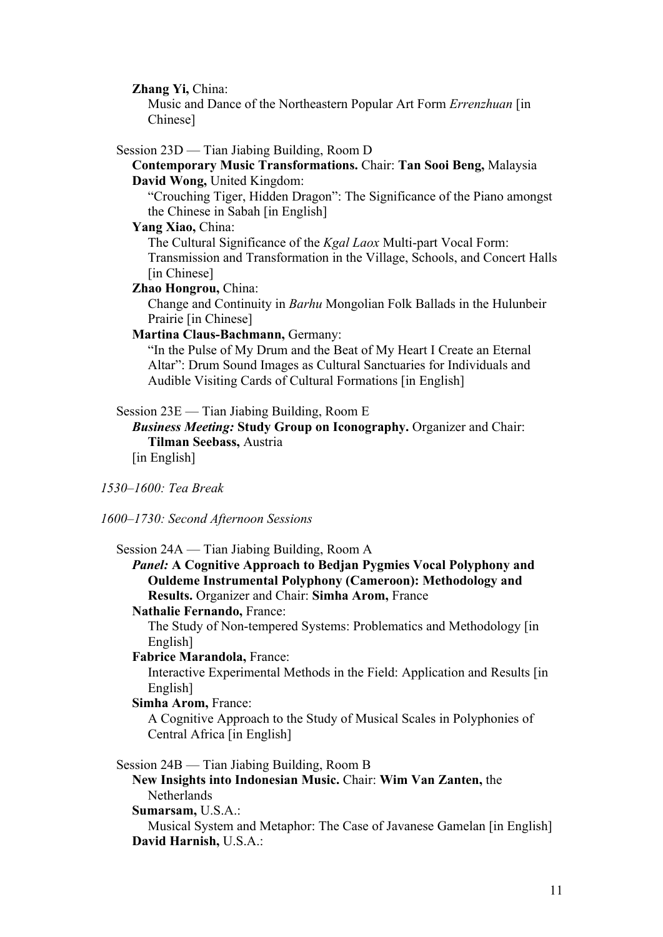#### **Zhang Yi,** China:

Music and Dance of the Northeastern Popular Art Form *Errenzhuan* [in Chinese]

#### Session 23D — Tian Jiabing Building, Room D

#### **Contemporary Music Transformations.** Chair: **Tan Sooi Beng,** Malaysia **David Wong,** United Kingdom:

"Crouching Tiger, Hidden Dragon": The Significance of the Piano amongst the Chinese in Sabah [in English]

#### **Yang Xiao,** China:

The Cultural Significance of the *Kgal Laox* Multi-part Vocal Form: Transmission and Transformation in the Village, Schools, and Concert Halls [in Chinese]

# **Zhao Hongrou,** China:

Change and Continuity in *Barhu* Mongolian Folk Ballads in the Hulunbeir Prairie [in Chinese]

# **Martina Claus-Bachmann,** Germany:

"In the Pulse of My Drum and the Beat of My Heart I Create an Eternal Altar": Drum Sound Images as Cultural Sanctuaries for Individuals and Audible Visiting Cards of Cultural Formations [in English]

#### Session 23E — Tian Jiabing Building, Room E

*Business Meeting:* **Study Group on Iconography.** Organizer and Chair: **Tilman Seebass,** Austria

[in English]

#### *1530–1600: Tea Break*

#### *1600–1730: Second Afternoon Sessions*

#### Session 24A — Tian Jiabing Building, Room A

*Panel:* **A Cognitive Approach to Bedjan Pygmies Vocal Polyphony and Ouldeme Instrumental Polyphony (Cameroon): Methodology and Results.** Organizer and Chair: **Simha Arom,** France

#### **Nathalie Fernando,** France:

The Study of Non-tempered Systems: Problematics and Methodology [in English]

#### **Fabrice Marandola,** France:

Interactive Experimental Methods in the Field: Application and Results [in English]

#### **Simha Arom,** France:

A Cognitive Approach to the Study of Musical Scales in Polyphonies of Central Africa [in English]

#### Session 24B — Tian Jiabing Building, Room B

**New Insights into Indonesian Music.** Chair: **Wim Van Zanten,** the Netherlands

**Sumarsam,** U.S.A.:

Musical System and Metaphor: The Case of Javanese Gamelan [in English] **David Harnish,** U.S.A.: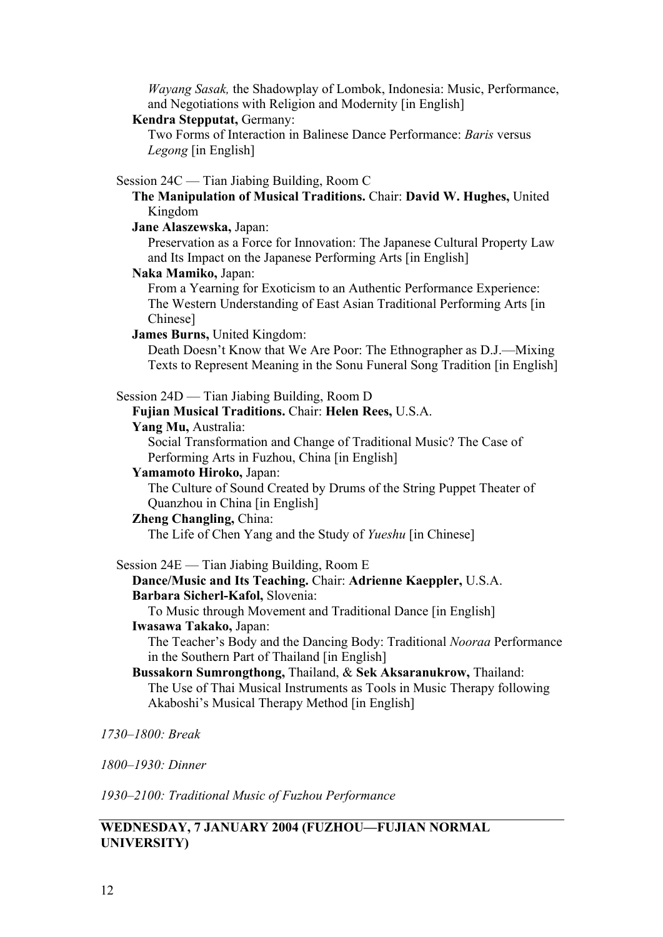*Wayang Sasak,* the Shadowplay of Lombok, Indonesia: Music, Performance, and Negotiations with Religion and Modernity [in English]

# **Kendra Stepputat,** Germany:

Two Forms of Interaction in Balinese Dance Performance: *Baris* versus *Legong* [in English]

#### Session 24C — Tian Jiabing Building, Room C

# **The Manipulation of Musical Traditions.** Chair: **David W. Hughes,** United Kingdom

**Jane Alaszewska,** Japan:

Preservation as a Force for Innovation: The Japanese Cultural Property Law and Its Impact on the Japanese Performing Arts [in English]

#### **Naka Mamiko,** Japan:

From a Yearning for Exoticism to an Authentic Performance Experience: The Western Understanding of East Asian Traditional Performing Arts [in Chinese]

# **James Burns,** United Kingdom:

Death Doesn't Know that We Are Poor: The Ethnographer as D.J.—Mixing Texts to Represent Meaning in the Sonu Funeral Song Tradition [in English]

# Session 24D — Tian Jiabing Building, Room D

# **Fujian Musical Traditions.** Chair: **Helen Rees,** U.S.A.

**Yang Mu,** Australia:

Social Transformation and Change of Traditional Music? The Case of Performing Arts in Fuzhou, China [in English]

# **Yamamoto Hiroko,** Japan:

The Culture of Sound Created by Drums of the String Puppet Theater of Quanzhou in China [in English]

# **Zheng Changling,** China:

The Life of Chen Yang and the Study of *Yueshu* [in Chinese]

#### Session 24E — Tian Jiabing Building, Room E

#### **Dance/Music and Its Teaching.** Chair: **Adrienne Kaeppler,** U.S.A. **Barbara Sicherl-Kafol,** Slovenia:

To Music through Movement and Traditional Dance [in English] **Iwasawa Takako,** Japan:

The Teacher's Body and the Dancing Body: Traditional *Nooraa* Performance in the Southern Part of Thailand [in English]

# **Bussakorn Sumrongthong,** Thailand, & **Sek Aksaranukrow,** Thailand: The Use of Thai Musical Instruments as Tools in Music Therapy following Akaboshi's Musical Therapy Method [in English]

#### *1730–1800: Break*

*1800–1930: Dinner*

*1930–2100: Traditional Music of Fuzhou Performance*

# **WEDNESDAY, 7 JANUARY 2004 (FUZHOU—FUJIAN NORMAL UNIVERSITY)**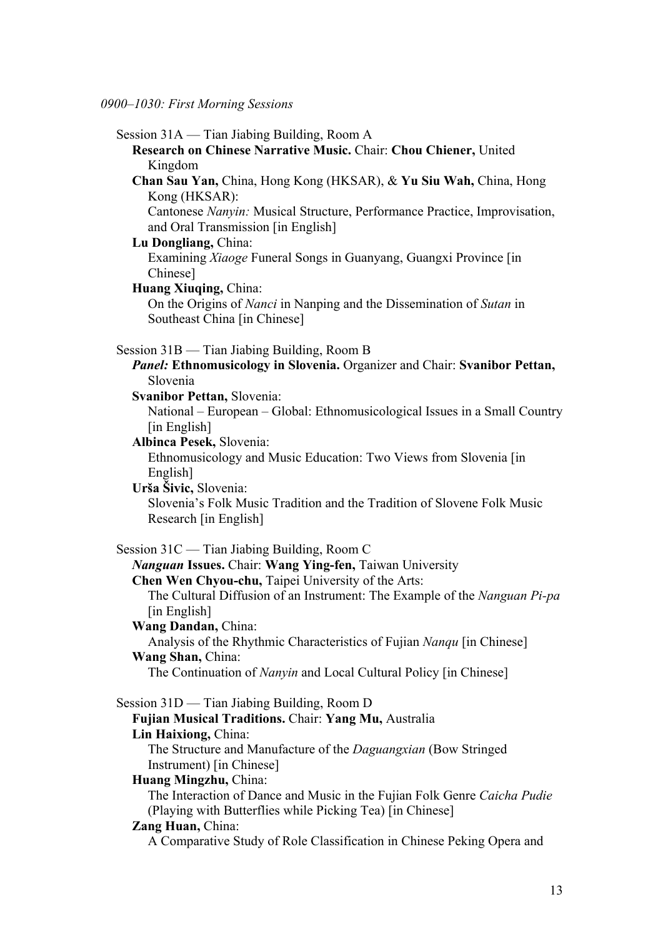| Session 31A — Tian Jiabing Building, Room A                                                                                           |
|---------------------------------------------------------------------------------------------------------------------------------------|
| Research on Chinese Narrative Music. Chair: Chou Chiener, United                                                                      |
| Kingdom                                                                                                                               |
| Chan Sau Yan, China, Hong Kong (HKSAR), & Yu Siu Wah, China, Hong<br>Kong (HKSAR):                                                    |
| Cantonese Nanyin: Musical Structure, Performance Practice, Improvisation,<br>and Oral Transmission [in English]                       |
| Lu Dongliang, China:                                                                                                                  |
| Examining Xiaoge Funeral Songs in Guanyang, Guangxi Province [in<br>Chinese]                                                          |
| Huang Xiuqing, China:                                                                                                                 |
| On the Origins of Nanci in Nanping and the Dissemination of Sutan in<br>Southeast China [in Chinese]                                  |
| Session 31B — Tian Jiabing Building, Room B<br>Panel: Ethnomusicology in Slovenia. Organizer and Chair: Svanibor Pettan,              |
| Slovenia                                                                                                                              |
| <b>Svanibor Pettan, Slovenia:</b>                                                                                                     |
| National – European – Global: Ethnomusicological Issues in a Small Country<br>[in English]                                            |
| Albinca Pesek, Slovenia:                                                                                                              |
| Ethnomusicology and Music Education: Two Views from Slovenia [in<br>English]                                                          |
| Urša Šivic, Slovenia:                                                                                                                 |
| Slovenia's Folk Music Tradition and the Tradition of Slovene Folk Music<br>Research [in English]                                      |
| Session 31C — Tian Jiabing Building, Room C                                                                                           |
| <b>Nanguan Issues.</b> Chair: Wang Ying-fen, Taiwan University                                                                        |
| Chen Wen Chyou-chu, Taipei University of the Arts:                                                                                    |
| The Cultural Diffusion of an Instrument: The Example of the Nanguan Pi-pa<br>[in English]                                             |
| Wang Dandan, China:                                                                                                                   |
| Analysis of the Rhythmic Characteristics of Fujian Nangu [in Chinese]<br>Wang Shan, China:                                            |
| The Continuation of <i>Nanyin</i> and Local Cultural Policy [in Chinese]                                                              |
| Session 31D - Tian Jiabing Building, Room D                                                                                           |
| Fujian Musical Traditions. Chair: Yang Mu, Australia                                                                                  |
| Lin Haixiong, China:                                                                                                                  |
| The Structure and Manufacture of the Daguangxian (Bow Stringed<br>Instrument) [in Chinese]                                            |
| Huang Mingzhu, China:                                                                                                                 |
| The Interaction of Dance and Music in the Fujian Folk Genre Caicha Pudie<br>(Playing with Butterflies while Picking Tea) [in Chinese] |
| Zang Huan, China:<br>A Comparative Study of Role Classification in Chinese Peking Opera and                                           |
|                                                                                                                                       |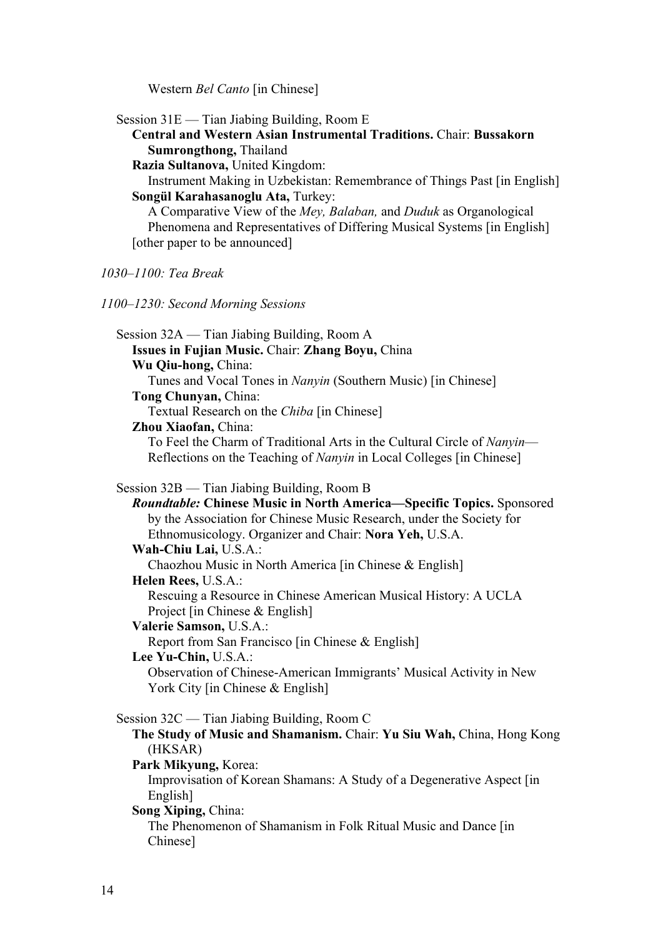Western *Bel Canto* [in Chinese]

| Session $31E -$ Tian Jiabing Building, Room E |  |  |  |  |  |
|-----------------------------------------------|--|--|--|--|--|
|-----------------------------------------------|--|--|--|--|--|

**Central and Western Asian Instrumental Traditions.** Chair: **Bussakorn Sumrongthong,** Thailand

**Razia Sultanova,** United Kingdom:

Instrument Making in Uzbekistan: Remembrance of Things Past [in English] **Songül Karahasanoglu Ata,** Turkey:

A Comparative View of the *Mey, Balaban,* and *Duduk* as Organological Phenomena and Representatives of Differing Musical Systems [in English] [other paper to be announced]

# *1030–1100: Tea Break*

*1100–1230: Second Morning Sessions*

| Session 32A — Tian Jiabing Building, Room A                                                               |
|-----------------------------------------------------------------------------------------------------------|
| Issues in Fujian Music. Chair: Zhang Boyu, China                                                          |
| Wu Qiu-hong, China:                                                                                       |
| Tunes and Vocal Tones in <i>Nanyin</i> (Southern Music) [in Chinese]                                      |
| Tong Chunyan, China:                                                                                      |
| Textual Research on the Chiba [in Chinese]                                                                |
| Zhou Xiaofan, China:                                                                                      |
| To Feel the Charm of Traditional Arts in the Cultural Circle of Nanyin-                                   |
| Reflections on the Teaching of <i>Nanyin</i> in Local Colleges [in Chinese]                               |
| Session 32B — Tian Jiabing Building, Room B                                                               |
| <b>Roundtable: Chinese Music in North America—Specific Topics.</b> Sponsored                              |
| by the Association for Chinese Music Research, under the Society for                                      |
| Ethnomusicology. Organizer and Chair: Nora Yeh, U.S.A.                                                    |
| Wah-Chiu Lai, U.S.A.:                                                                                     |
| Chaozhou Music in North America [in Chinese & English]                                                    |
| Helen Rees, U.S.A.:                                                                                       |
| Rescuing a Resource in Chinese American Musical History: A UCLA                                           |
| Project [in Chinese $&$ English]                                                                          |
| Valerie Samson, U.S.A.:                                                                                   |
| Report from San Francisco [in Chinese & English]                                                          |
| Lee Yu-Chin, U.S.A.:                                                                                      |
| Observation of Chinese-American Immigrants' Musical Activity in New<br>York City [in Chinese $&$ English] |
|                                                                                                           |
| Session 32C — Tian Jiabing Building, Room C                                                               |
| The Study of Music and Shamanism. Chair: Yu Siu Wah, China, Hong Kong<br>(HKSAR)                          |
| Park Mikyung, Korea:                                                                                      |
| Improvisation of Korean Shamans: A Study of a Degenerative Aspect [in                                     |
| English]                                                                                                  |
| Song Xiping, China:                                                                                       |
| The Phenomenon of Shamanism in Folk Ritual Music and Dance [in]                                           |
| Chinese]                                                                                                  |
|                                                                                                           |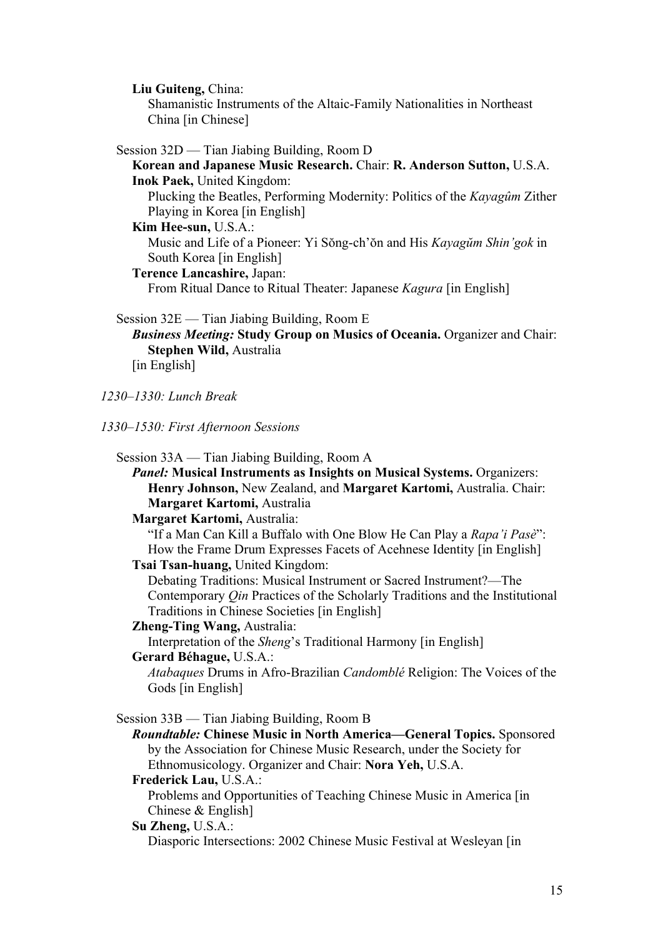**Liu Guiteng,** China:

Shamanistic Instruments of the Altaic-Family Nationalities in Northeast China [in Chinese]

#### Session 32D — Tian Jiabing Building, Room D

#### **Korean and Japanese Music Research.** Chair: **R. Anderson Sutton,** U.S.A. **Inok Paek,** United Kingdom:

Plucking the Beatles, Performing Modernity: Politics of the *Kayagûm* Zither Playing in Korea [in English]

# **Kim Hee-sun,** U.S.A.:

Music and Life of a Pioneer: Yi Sŏng-ch'ŏn and His *Kayagŭm Shin'gok* in South Korea [in English]

# **Terence Lancashire,** Japan:

From Ritual Dance to Ritual Theater: Japanese *Kagura* [in English]

#### Session 32E — Tian Jiabing Building, Room E

*Business Meeting:* **Study Group on Musics of Oceania.** Organizer and Chair: **Stephen Wild,** Australia

[in English]

# *1230–1330: Lunch Break*

|  | 1330-1530: First Afternoon Sessions |  |
|--|-------------------------------------|--|
|--|-------------------------------------|--|

Session 33A — Tian Jiabing Building, Room A *Panel:* **Musical Instruments as Insights on Musical Systems.** Organizers: **Henry Johnson,** New Zealand, and **Margaret Kartomi,** Australia. Chair: **Margaret Kartomi,** Australia **Margaret Kartomi,** Australia: "If a Man Can Kill a Buffalo with One Blow He Can Play a *Rapa'i Pasè*": How the Frame Drum Expresses Facets of Acehnese Identity [in English] **Tsai Tsan-huang,** United Kingdom: Debating Traditions: Musical Instrument or Sacred Instrument?—The Contemporary *Qin* Practices of the Scholarly Traditions and the Institutional Traditions in Chinese Societies [in English] **Zheng-Ting Wang,** Australia: Interpretation of the *Sheng*'s Traditional Harmony [in English] **Gerard Béhague,** U.S.A.: *Atabaques* Drums in Afro-Brazilian *Candomblé* Religion: The Voices of the Gods [in English] Session 33B — Tian Jiabing Building, Room B *Roundtable:* **Chinese Music in North America—General Topics.** Sponsored by the Association for Chinese Music Research, under the Society for Ethnomusicology. Organizer and Chair: **Nora Yeh,** U.S.A. **Frederick Lau,** U.S.A.: Problems and Opportunities of Teaching Chinese Music in America [in Chinese & English] **Su Zheng,** U.S.A.: Diasporic Intersections: 2002 Chinese Music Festival at Wesleyan [in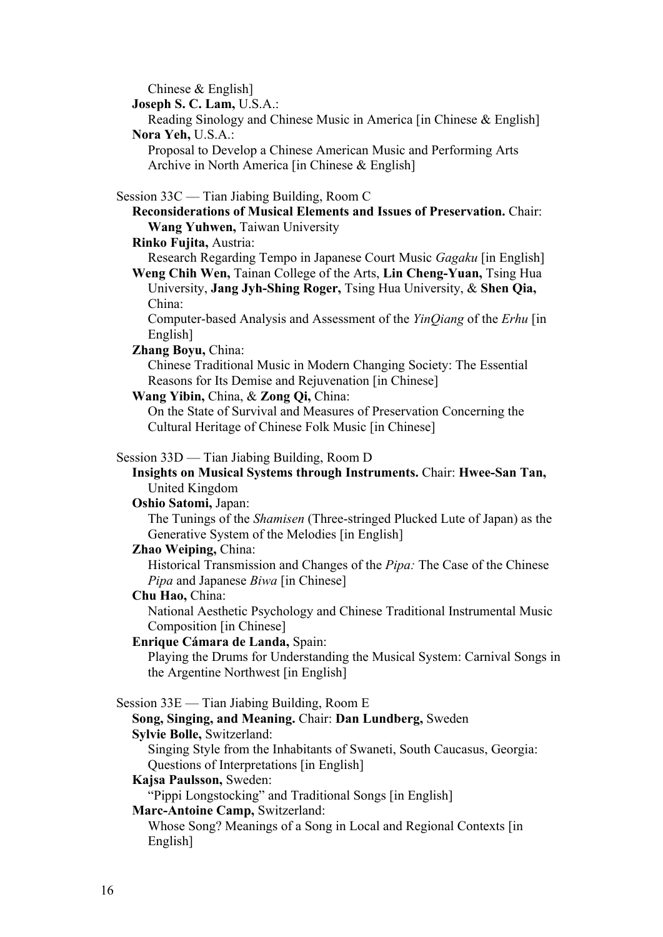Chinese & English]

**Joseph S. C. Lam,** U.S.A.:

Reading Sinology and Chinese Music in America [in Chinese & English] **Nora Yeh,** U.S.A.:

Proposal to Develop a Chinese American Music and Performing Arts Archive in North America [in Chinese & English]

# Session 33C — Tian Jiabing Building, Room C

**Reconsiderations of Musical Elements and Issues of Preservation.** Chair: **Wang Yuhwen,** Taiwan University

**Rinko Fujita,** Austria:

Research Regarding Tempo in Japanese Court Music *Gagaku* [in English]

**Weng Chih Wen,** Tainan College of the Arts, **Lin Cheng-Yuan,** Tsing Hua University, **Jang Jyh-Shing Roger,** Tsing Hua University, & **Shen Qia,**  China:

Computer-based Analysis and Assessment of the *YinQiang* of the *Erhu* [in English]

**Zhang Boyu,** China:

Chinese Traditional Music in Modern Changing Society: The Essential Reasons for Its Demise and Rejuvenation [in Chinese]

**Wang Yibin,** China, & **Zong Qi,** China:

On the State of Survival and Measures of Preservation Concerning the Cultural Heritage of Chinese Folk Music [in Chinese]

# Session 33D — Tian Jiabing Building, Room D

# **Insights on Musical Systems through Instruments.** Chair: **Hwee-San Tan,**  United Kingdom

**Oshio Satomi,** Japan:

The Tunings of the *Shamisen* (Three-stringed Plucked Lute of Japan) as the Generative System of the Melodies [in English]

# **Zhao Weiping,** China:

Historical Transmission and Changes of the *Pipa:* The Case of the Chinese *Pipa* and Japanese *Biwa* [in Chinese]

# **Chu Hao,** China:

National Aesthetic Psychology and Chinese Traditional Instrumental Music Composition [in Chinese]

# **Enrique Cámara de Landa,** Spain:

Playing the Drums for Understanding the Musical System: Carnival Songs in the Argentine Northwest [in English]

# Session 33E — Tian Jiabing Building, Room E

**Song, Singing, and Meaning.** Chair: **Dan Lundberg,** Sweden **Sylvie Bolle,** Switzerland:

Singing Style from the Inhabitants of Swaneti, South Caucasus, Georgia: Questions of Interpretations [in English]

# **Kajsa Paulsson,** Sweden:

"Pippi Longstocking" and Traditional Songs [in English]

# **Marc-Antoine Camp,** Switzerland:

Whose Song? Meanings of a Song in Local and Regional Contexts [in English]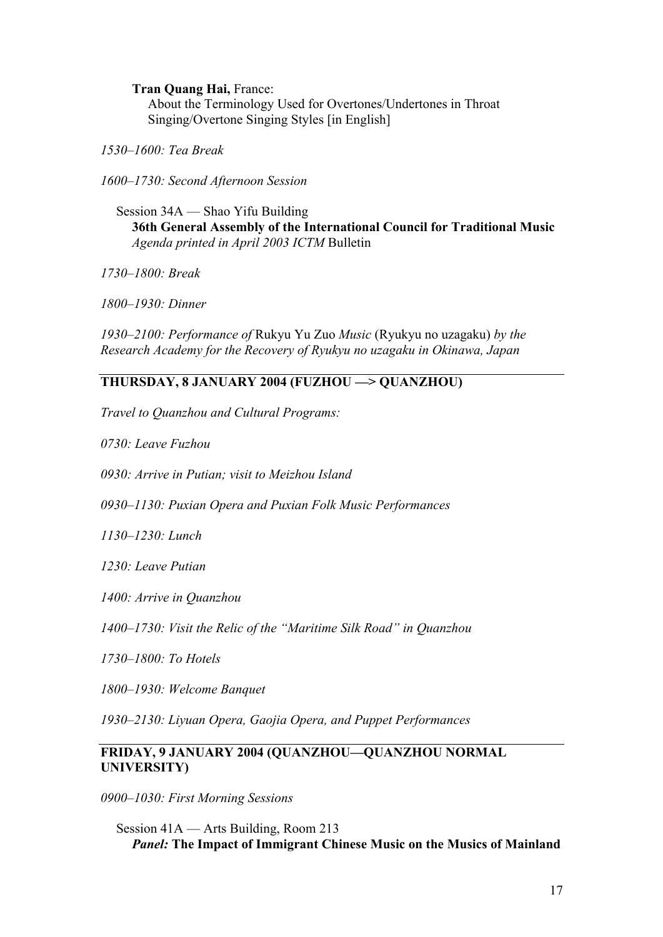**Tran Quang Hai,** France:

About the Terminology Used for Overtones/Undertones in Throat Singing/Overtone Singing Styles [in English]

*1530–1600: Tea Break*

*1600–1730: Second Afternoon Session*

Session 34A — Shao Yifu Building **36th General Assembly of the International Council for Traditional Music** *Agenda printed in April 2003 ICTM* Bulletin

*1730–1800: Break*

*1800–1930: Dinner*

*1930–2100: Performance of* Rukyu Yu Zuo *Music* (Ryukyu no uzagaku) *by the Research Academy for the Recovery of Ryukyu no uzagaku in Okinawa, Japan*

# **THURSDAY, 8 JANUARY 2004 (FUZHOU —> QUANZHOU)**

*Travel to Quanzhou and Cultural Programs:*

*0730: Leave Fuzhou*

*0930: Arrive in Putian; visit to Meizhou Island*

*0930–1130: Puxian Opera and Puxian Folk Music Performances*

*1130–1230: Lunch*

*1230: Leave Putian*

*1400: Arrive in Quanzhou*

*1400–1730: Visit the Relic of the "Maritime Silk Road" in Quanzhou*

*1730–1800: To Hotels*

*1800–1930: Welcome Banquet*

*1930–2130: Liyuan Opera, Gaojia Opera, and Puppet Performances*

# **FRIDAY, 9 JANUARY 2004 (QUANZHOU—QUANZHOU NORMAL UNIVERSITY)**

*0900–1030: First Morning Sessions*

Session 41A — Arts Building, Room 213 *Panel:* **The Impact of Immigrant Chinese Music on the Musics of Mainland**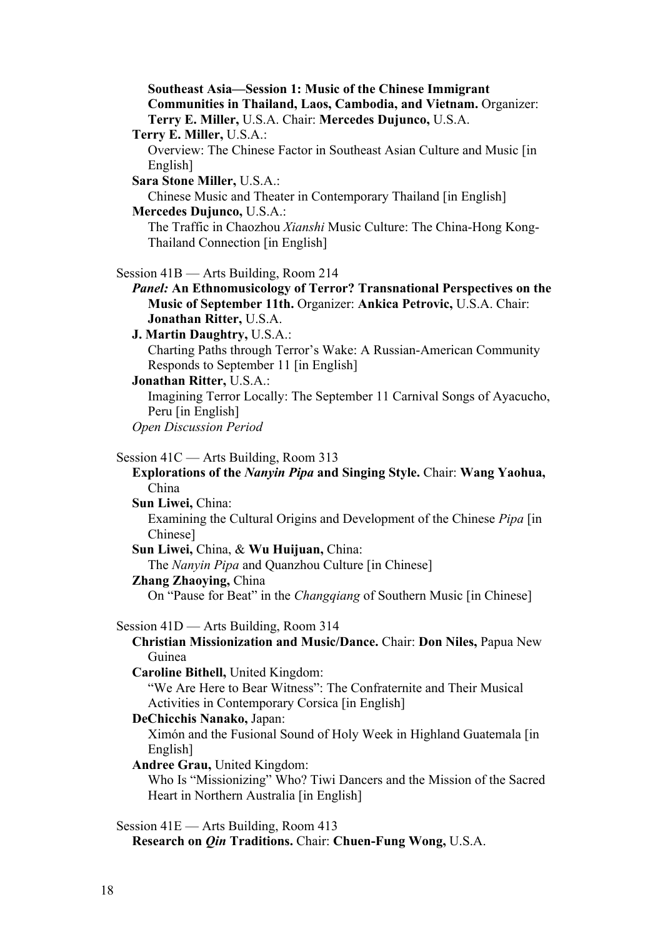**Southeast Asia—Session 1: Music of the Chinese Immigrant Communities in Thailand, Laos, Cambodia, and Vietnam.** Organizer: **Terry E. Miller,** U.S.A. Chair: **Mercedes Dujunco,** U.S.A. **Terry E. Miller,** U.S.A.: Overview: The Chinese Factor in Southeast Asian Culture and Music [in English] **Sara Stone Miller,** U.S.A.: Chinese Music and Theater in Contemporary Thailand [in English] **Mercedes Dujunco,** U.S.A.: The Traffic in Chaozhou *Xianshi* Music Culture: The China-Hong Kong-Thailand Connection [in English] Session 41B — Arts Building, Room 214 *Panel:* **An Ethnomusicology of Terror? Transnational Perspectives on the Music of September 11th.** Organizer: **Ankica Petrovic,** U.S.A. Chair: **Jonathan Ritter,** U.S.A. **J. Martin Daughtry,** U.S.A.: Charting Paths through Terror's Wake: A Russian-American Community Responds to September 11 [in English] **Jonathan Ritter,** U.S.A.: Imagining Terror Locally: The September 11 Carnival Songs of Ayacucho, Peru [in English] *Open Discussion Period* Session 41C — Arts Building, Room 313 **Explorations of the** *Nanyin Pipa* **and Singing Style.** Chair: **Wang Yaohua,**  China **Sun Liwei,** China: Examining the Cultural Origins and Development of the Chinese *Pipa* [in Chinese] **Sun Liwei,** China, & **Wu Huijuan,** China: The *Nanyin Pipa* and Quanzhou Culture [in Chinese] **Zhang Zhaoying,** China On "Pause for Beat" in the *Changqiang* of Southern Music [in Chinese] Session 41D — Arts Building, Room 314 **Christian Missionization and Music/Dance.** Chair: **Don Niles,** Papua New Guinea **Caroline Bithell,** United Kingdom: "We Are Here to Bear Witness": The Confraternite and Their Musical Activities in Contemporary Corsica [in English] **DeChicchis Nanako,** Japan: Ximón and the Fusional Sound of Holy Week in Highland Guatemala [in English] **Andree Grau,** United Kingdom: Who Is "Missionizing" Who? Tiwi Dancers and the Mission of the Sacred Heart in Northern Australia [in English]

Session 41E — Arts Building, Room 413 **Research on** *Qin* **Traditions.** Chair: **Chuen-Fung Wong,** U.S.A.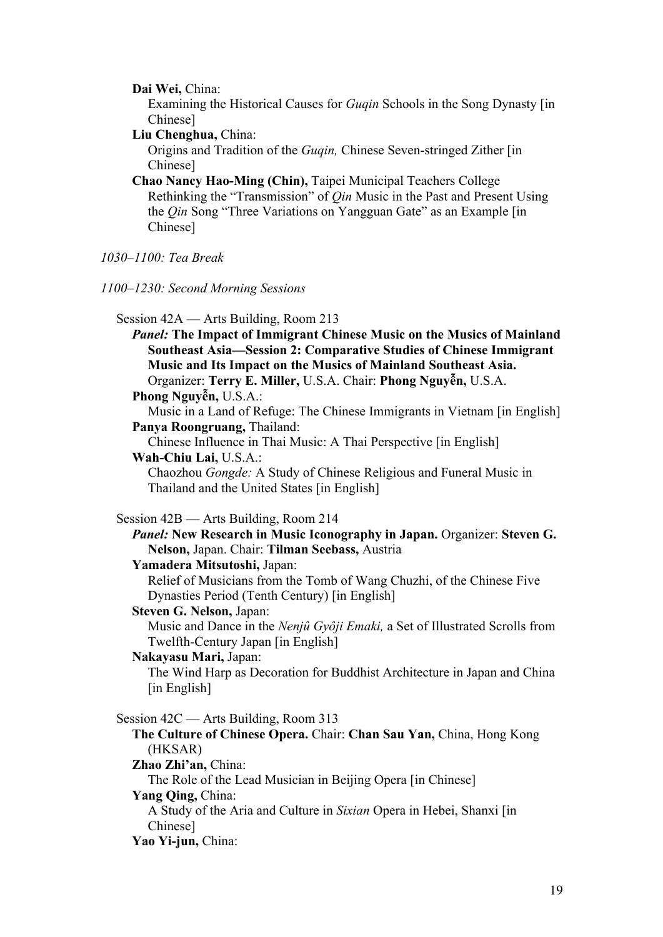**Dai Wei,** China:

Examining the Historical Causes for *Guqin* Schools in the Song Dynasty [in Chinese]

**Liu Chenghua,** China:

Origins and Tradition of the *Guqin,* Chinese Seven-stringed Zither [in Chinese]

**Chao Nancy Hao-Ming (Chin),** Taipei Municipal Teachers College Rethinking the "Transmission" of *Qin* Music in the Past and Present Using the *Qin* Song "Three Variations on Yangguan Gate" as an Example [in Chinese]

*1030–1100: Tea Break*

*1100–1230: Second Morning Sessions*

Session 42A — Arts Building, Room 213

*Panel:* **The Impact of Immigrant Chinese Music on the Musics of Mainland Southeast Asia—Session 2: Comparative Studies of Chinese Immigrant Music and Its Impact on the Musics of Mainland Southeast Asia.** Organizer: **Terry E. Miller,** U.S.A. Chair: **Phong Nguyễn,** U.S.A.

**Phong Nguyễn,** U.S.A.:

Music in a Land of Refuge: The Chinese Immigrants in Vietnam [in English] **Panya Roongruang,** Thailand:

Chinese Influence in Thai Music: A Thai Perspective [in English] **Wah-Chiu Lai,** U.S.A.:

Chaozhou *Gongde:* A Study of Chinese Religious and Funeral Music in Thailand and the United States [in English]

Session 42B — Arts Building, Room 214

*Panel:* **New Research in Music Iconography in Japan.** Organizer: **Steven G. Nelson,** Japan. Chair: **Tilman Seebass,** Austria

**Yamadera Mitsutoshi,** Japan:

Relief of Musicians from the Tomb of Wang Chuzhi, of the Chinese Five Dynasties Period (Tenth Century) [in English]

# **Steven G. Nelson,** Japan:

Music and Dance in the *Nenjû Gyôji Emaki,* a Set of Illustrated Scrolls from Twelfth-Century Japan [in English]

#### **Nakayasu Mari,** Japan:

The Wind Harp as Decoration for Buddhist Architecture in Japan and China [in English]

Session 42C — Arts Building, Room 313

**The Culture of Chinese Opera.** Chair: **Chan Sau Yan,** China, Hong Kong (HKSAR)

**Zhao Zhi'an,** China:

The Role of the Lead Musician in Beijing Opera [in Chinese]

**Yang Qing,** China:

A Study of the Aria and Culture in *Sixian* Opera in Hebei, Shanxi [in Chinese]

**Yao Yi-jun,** China: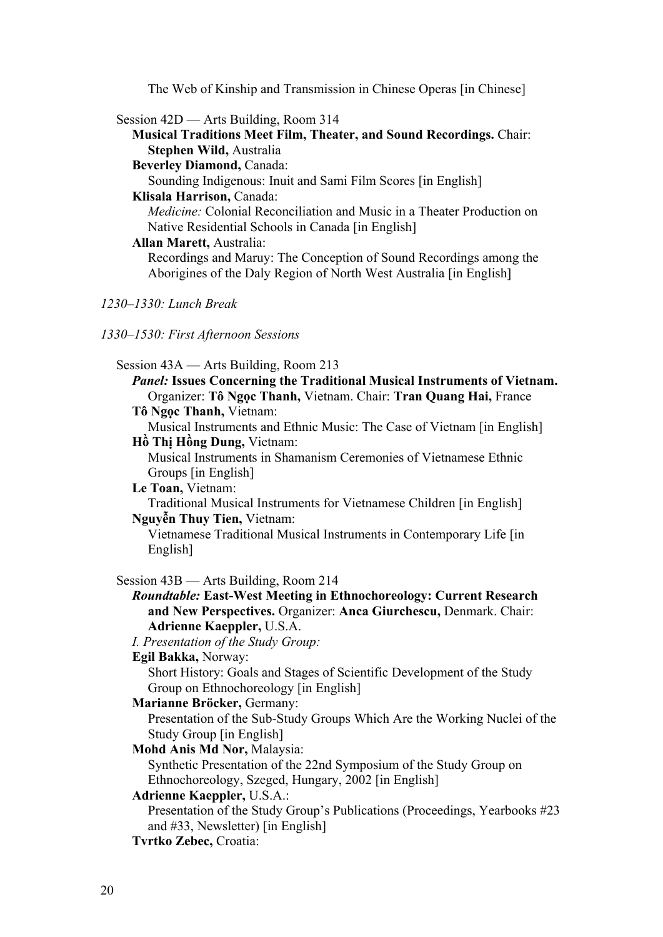The Web of Kinship and Transmission in Chinese Operas [in Chinese]

| Session 42D — Arts Building, Room 314 |
|---------------------------------------|
|---------------------------------------|

**Musical Traditions Meet Film, Theater, and Sound Recordings.** Chair: **Stephen Wild,** Australia

**Beverley Diamond,** Canada:

Sounding Indigenous: Inuit and Sami Film Scores [in English]

# **Klisala Harrison,** Canada:

*Medicine:* Colonial Reconciliation and Music in a Theater Production on Native Residential Schools in Canada [in English]

# **Allan Marett,** Australia:

Recordings and Maruy: The Conception of Sound Recordings among the Aborigines of the Daly Region of North West Australia [in English]

#### *1230–1330: Lunch Break*

# *1330–1530: First Afternoon Sessions*

| Session 43A — Arts Building, Room 213                                       |
|-----------------------------------------------------------------------------|
| Panel: Issues Concerning the Traditional Musical Instruments of Vietnam.    |
| Organizer: Tô Ngọc Thanh, Vietnam. Chair: Tran Quang Hai, France            |
| Tô Ngọc Thanh, Vietnam:                                                     |
| Musical Instruments and Ethnic Music: The Case of Vietnam [in English]      |
| Hồ Thị Hồng Dung, Vietnam:                                                  |
| Musical Instruments in Shamanism Ceremonies of Vietnamese Ethnic            |
| Groups [in English]                                                         |
| Le Toan, Vietnam:                                                           |
| Traditional Musical Instruments for Vietnamese Children [in English]        |
| Nguyễn Thuy Tien, Vietnam:                                                  |
| Vietnamese Traditional Musical Instruments in Contemporary Life [in]        |
| English]                                                                    |
| Session 43B — Arts Building, Room 214                                       |
| <b>Roundtable: East-West Meeting in Ethnochoreology: Current Research</b>   |
| and New Perspectives. Organizer: Anca Giurchescu, Denmark. Chair:           |
| <b>Adrienne Kaeppler, U.S.A.</b>                                            |
| I. Presentation of the Study Group:                                         |
| Egil Bakka, Norway:                                                         |
| Short History: Goals and Stages of Scientific Development of the Study      |
| Group on Ethnochoreology [in English]                                       |
| Marianne Bröcker, Germany:                                                  |
| Presentation of the Sub-Study Groups Which Are the Working Nuclei of the    |
| Study Group [in English]                                                    |
| Mohd Anis Md Nor, Malaysia:                                                 |
| Synthetic Presentation of the 22nd Symposium of the Study Group on          |
| Ethnochoreology, Szeged, Hungary, 2002 [in English]                         |
| <b>Adrienne Kaeppler, U.S.A.:</b>                                           |
| Presentation of the Study Group's Publications (Proceedings, Yearbooks #23) |
| and #33, Newsletter) [in English]                                           |
| Tvrtko Zebec, Croatia:                                                      |
|                                                                             |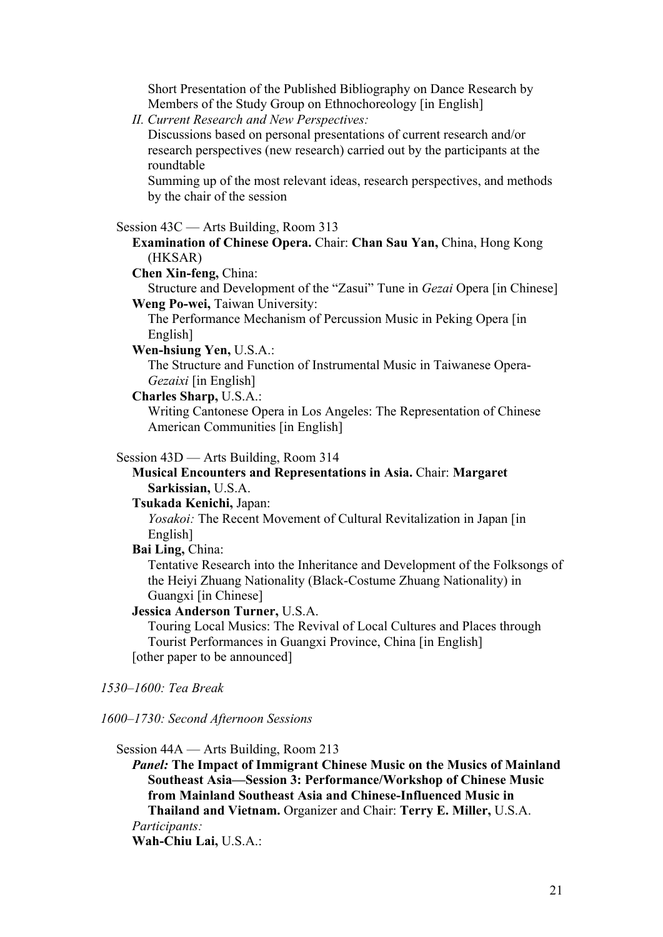Short Presentation of the Published Bibliography on Dance Research by Members of the Study Group on Ethnochoreology [in English]

*II. Current Research and New Perspectives:*

Discussions based on personal presentations of current research and/or research perspectives (new research) carried out by the participants at the roundtable

Summing up of the most relevant ideas, research perspectives, and methods by the chair of the session

#### Session 43C — Arts Building, Room 313

**Examination of Chinese Opera.** Chair: **Chan Sau Yan,** China, Hong Kong (HKSAR)

# **Chen Xin-feng,** China:

Structure and Development of the "Zasui" Tune in *Gezai* Opera [in Chinese] **Weng Po-wei,** Taiwan University:

The Performance Mechanism of Percussion Music in Peking Opera [in English]

# **Wen-hsiung Yen,** U.S.A.:

The Structure and Function of Instrumental Music in Taiwanese Opera-*Gezaixi* [in English]

# **Charles Sharp,** U.S.A.:

Writing Cantonese Opera in Los Angeles: The Representation of Chinese American Communities [in English]

#### Session 43D — Arts Building, Room 314

# **Musical Encounters and Representations in Asia.** Chair: **Margaret Sarkissian,** U.S.A.

#### **Tsukada Kenichi,** Japan:

*Yosakoi:* The Recent Movement of Cultural Revitalization in Japan [in English]

**Bai Ling,** China:

Tentative Research into the Inheritance and Development of the Folksongs of the Heiyi Zhuang Nationality (Black-Costume Zhuang Nationality) in Guangxi [in Chinese]

# **Jessica Anderson Turner,** U.S.A.

Touring Local Musics: The Revival of Local Cultures and Places through Tourist Performances in Guangxi Province, China [in English] [other paper to be announced]

*1530–1600: Tea Break*

*1600–1730: Second Afternoon Sessions*

Session 44A — Arts Building, Room 213

*Panel:* **The Impact of Immigrant Chinese Music on the Musics of Mainland Southeast Asia—Session 3: Performance/Workshop of Chinese Music from Mainland Southeast Asia and Chinese-Influenced Music in Thailand and Vietnam.** Organizer and Chair: **Terry E. Miller,** U.S.A. *Participants:*

**Wah-Chiu Lai,** U.S.A.: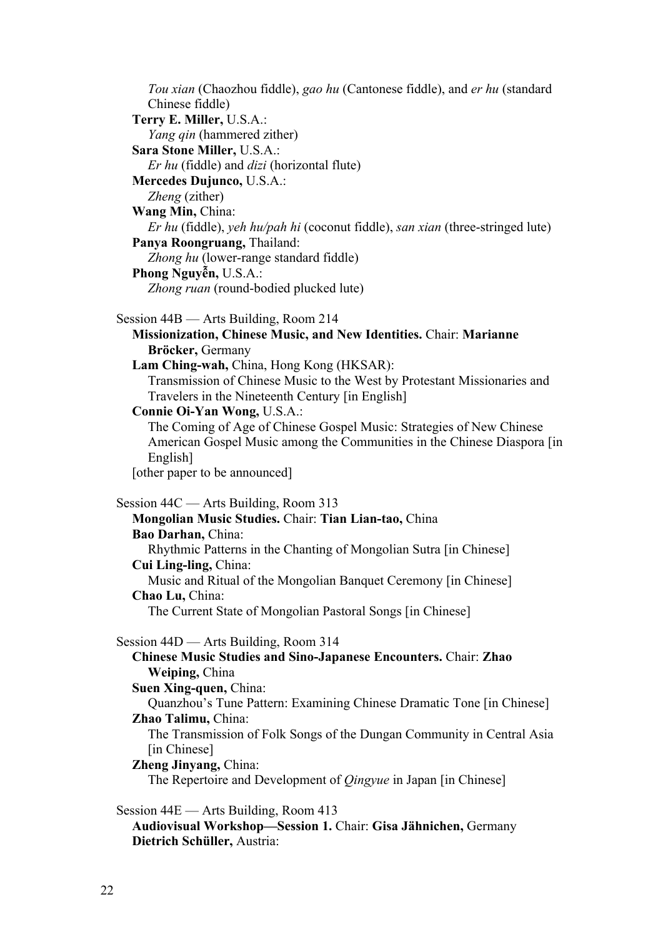*Tou xian* (Chaozhou fiddle), *gao hu* (Cantonese fiddle), and *er hu* (standard Chinese fiddle) **Terry E. Miller,** U.S.A.: *Yang qin* (hammered zither) **Sara Stone Miller,** U.S.A.: *Er hu* (fiddle) and *dizi* (horizontal flute) **Mercedes Dujunco,** U.S.A.: *Zheng* (zither) **Wang Min,** China: *Er hu* (fiddle), *yeh hu/pah hi* (coconut fiddle), *san xian* (three-stringed lute) **Panya Roongruang,** Thailand: *Zhong hu* (lower-range standard fiddle) **Phong Nguyễn,** U.S.A.: *Zhong ruan* (round-bodied plucked lute) Session 44B — Arts Building, Room 214 **Missionization, Chinese Music, and New Identities.** Chair: **Marianne Bröcker,** Germany **Lam Ching-wah,** China, Hong Kong (HKSAR): Transmission of Chinese Music to the West by Protestant Missionaries and Travelers in the Nineteenth Century [in English] **Connie Oi-Yan Wong,** U.S.A.: The Coming of Age of Chinese Gospel Music: Strategies of New Chinese American Gospel Music among the Communities in the Chinese Diaspora [in English] [other paper to be announced] Session 44C — Arts Building, Room 313 **Mongolian Music Studies.** Chair: **Tian Lian-tao,** China **Bao Darhan,** China: Rhythmic Patterns in the Chanting of Mongolian Sutra [in Chinese] **Cui Ling-ling,** China: Music and Ritual of the Mongolian Banquet Ceremony [in Chinese] **Chao Lu,** China: The Current State of Mongolian Pastoral Songs [in Chinese] Session 44D — Arts Building, Room 314 **Chinese Music Studies and Sino-Japanese Encounters.** Chair: **Zhao Weiping,** China **Suen Xing-quen,** China: Quanzhou's Tune Pattern: Examining Chinese Dramatic Tone [in Chinese] **Zhao Talimu,** China: The Transmission of Folk Songs of the Dungan Community in Central Asia [in Chinese] **Zheng Jinyang,** China: The Repertoire and Development of *Qingyue* in Japan [in Chinese] Session 44E — Arts Building, Room 413 **Audiovisual Workshop—Session 1.** Chair: **Gisa Jähnichen,** Germany **Dietrich Schüller,** Austria: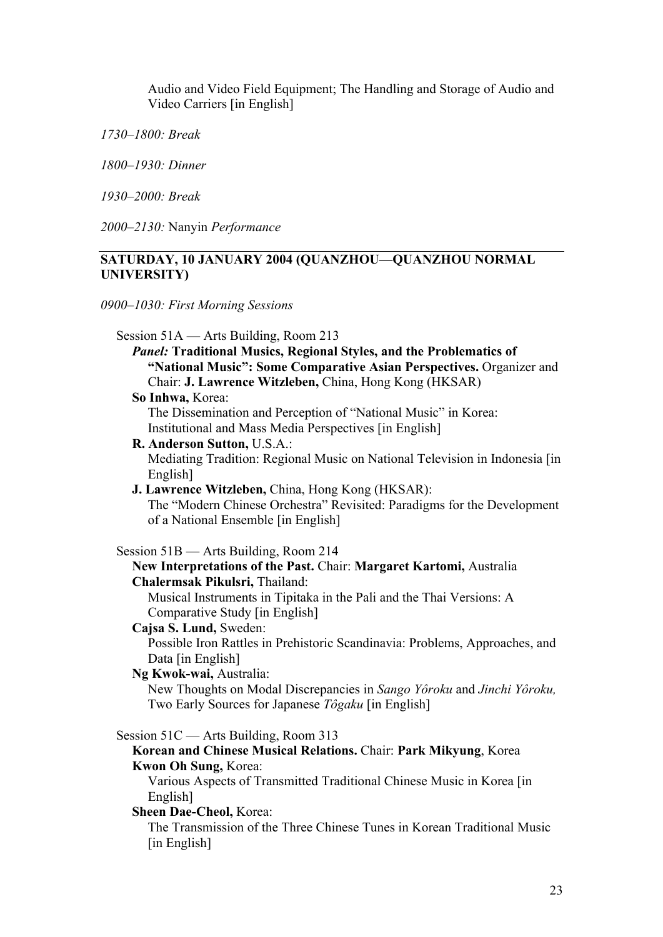Audio and Video Field Equipment; The Handling and Storage of Audio and Video Carriers [in English]

*1730–1800: Break*

*1800–1930: Dinner*

*1930–2000: Break*

*2000–2130:* Nanyin *Performance*

# **SATURDAY, 10 JANUARY 2004 (QUANZHOU—QUANZHOU NORMAL UNIVERSITY)**

*0900–1030: First Morning Sessions*

| Session 51A — Arts Building, Room 213                                                   |
|-----------------------------------------------------------------------------------------|
| <b>Panel: Traditional Musics, Regional Styles, and the Problematics of</b>              |
| "National Music": Some Comparative Asian Perspectives. Organizer and                    |
| Chair: J. Lawrence Witzleben, China, Hong Kong (HKSAR)                                  |
| So Inhwa, Korea:                                                                        |
| The Dissemination and Perception of "National Music" in Korea:                          |
| Institutional and Mass Media Perspectives [in English]                                  |
| R. Anderson Sutton, U.S.A.:                                                             |
| Mediating Tradition: Regional Music on National Television in Indonesia [in<br>English] |
| J. Lawrence Witzleben, China, Hong Kong (HKSAR):                                        |
| The "Modern Chinese Orchestra" Revisited: Paradigms for the Development                 |
| of a National Ensemble [in English]                                                     |
|                                                                                         |
| Session 51B — Arts Building, Room 214                                                   |
| New Interpretations of the Past. Chair: Margaret Kartomi, Australia                     |
| Chalermsak Pikulsri, Thailand:                                                          |
| Musical Instruments in Tipitaka in the Pali and the Thai Versions: A                    |
| Comparative Study [in English]                                                          |
| Cajsa S. Lund, Sweden:                                                                  |
| Possible Iron Rattles in Prehistoric Scandinavia: Problems, Approaches, and             |
| Data [in English]                                                                       |
| Ng Kwok-wai, Australia:                                                                 |
| New Thoughts on Modal Discrepancies in Sango Yôroku and Jinchi Yôroku,                  |
| Two Early Sources for Japanese Tôgaku [in English]                                      |
|                                                                                         |

Session 51C — Arts Building, Room 313

# **Korean and Chinese Musical Relations.** Chair: **Park Mikyung**, Korea **Kwon Oh Sung,** Korea:

Various Aspects of Transmitted Traditional Chinese Music in Korea [in English]

**Sheen Dae-Cheol,** Korea:

The Transmission of the Three Chinese Tunes in Korean Traditional Music [in English]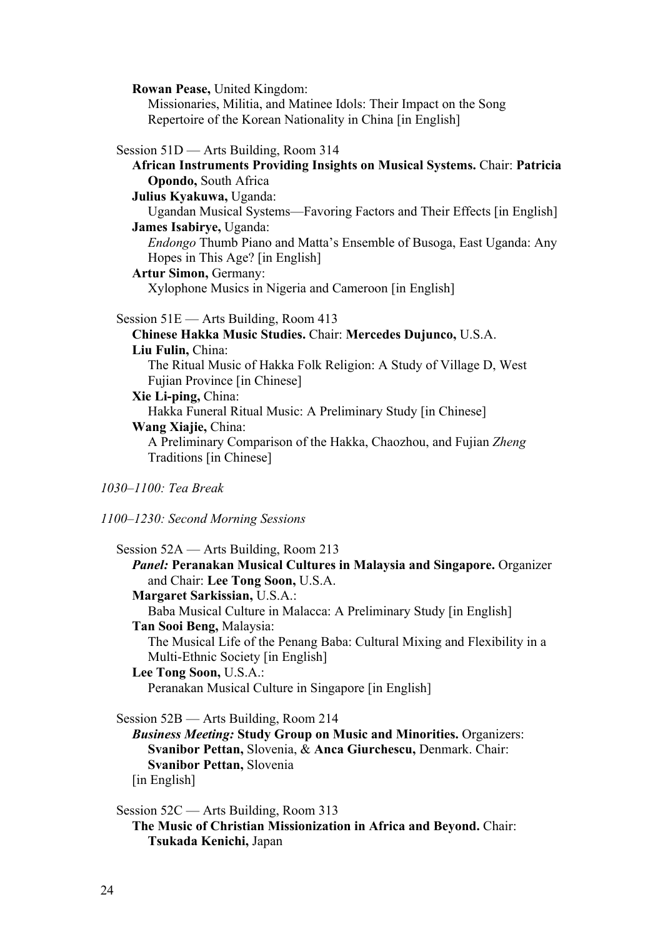**Rowan Pease,** United Kingdom:

Missionaries, Militia, and Matinee Idols: Their Impact on the Song Repertoire of the Korean Nationality in China [in English]

| Session 51D — Arts Building, Room 314 |  |  |  |  |
|---------------------------------------|--|--|--|--|
|---------------------------------------|--|--|--|--|

# **African Instruments Providing Insights on Musical Systems.** Chair: **Patricia Opondo,** South Africa

**Julius Kyakuwa,** Uganda:

Ugandan Musical Systems—Favoring Factors and Their Effects [in English] **James Isabirye,** Uganda:

*Endongo* Thumb Piano and Matta's Ensemble of Busoga, East Uganda: Any Hopes in This Age? [in English]

# **Artur Simon,** Germany:

Xylophone Musics in Nigeria and Cameroon [in English]

Session 51E — Arts Building, Room 413

**Chinese Hakka Music Studies.** Chair: **Mercedes Dujunco,** U.S.A. **Liu Fulin,** China:

The Ritual Music of Hakka Folk Religion: A Study of Village D, West Fujian Province [in Chinese]

**Xie Li-ping,** China:

Hakka Funeral Ritual Music: A Preliminary Study [in Chinese]

**Wang Xiajie,** China:

A Preliminary Comparison of the Hakka, Chaozhou, and Fujian *Zheng* Traditions [in Chinese]

*1030–1100: Tea Break*

# *1100–1230: Second Morning Sessions*

| Session $52A$ — Arts Building, Room 213                                                          |
|--------------------------------------------------------------------------------------------------|
| <b>Panel: Peranakan Musical Cultures in Malaysia and Singapore. Organizer</b>                    |
| and Chair: Lee Tong Soon, U.S.A.                                                                 |
| Margaret Sarkissian, U.S.A.:                                                                     |
| Baba Musical Culture in Malacca: A Preliminary Study [in English]                                |
| Tan Sooi Beng, Malaysia:                                                                         |
| The Musical Life of the Penang Baba: Cultural Mixing and Flexibility in a                        |
| Multi-Ethnic Society [in English]                                                                |
| Lee Tong Soon, U.S.A.:                                                                           |
| Peranakan Musical Culture in Singapore [in English]                                              |
| Session 52B — Arts Building, Room 214                                                            |
| <b>Business Meeting: Study Group on Music and Minorities. Organizers:</b>                        |
| Svanibor Pettan, Slovenia, & Anca Giurchescu, Denmark. Chair:                                    |
| Svanibor Pettan, Slovenia                                                                        |
| [in English]                                                                                     |
| Session 52C — Arts Building, Room 313<br>$\sim$ $\sim$ $\sim$ $\sim$ $\sim$ $\sim$ $\sim$ $\sim$ |

**The Music of Christian Missionization in Africa and Beyond.** Chair: **Tsukada Kenichi,** Japan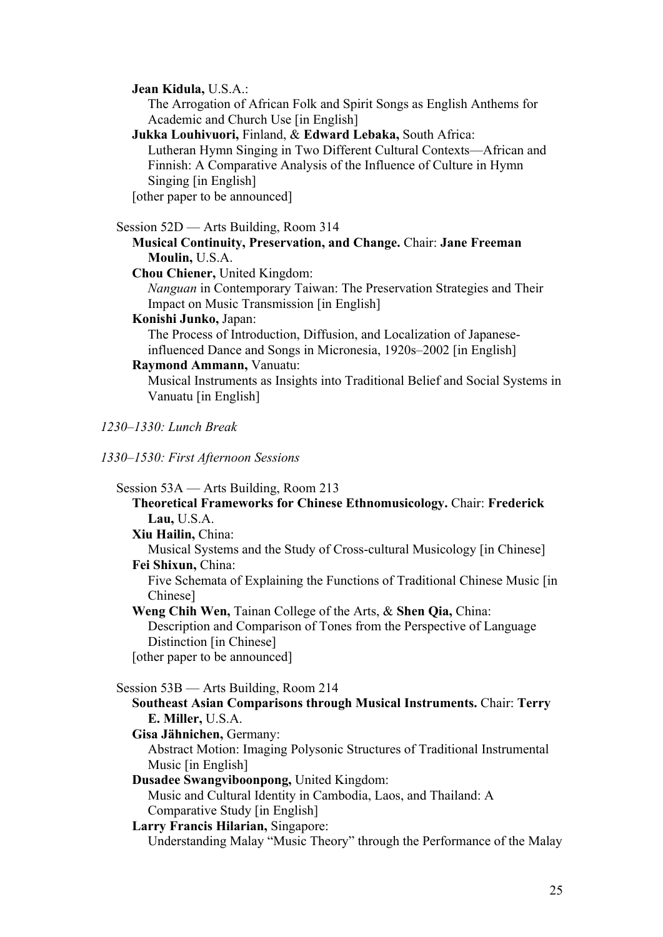**Jean Kidula,** U.S.A.:

The Arrogation of African Folk and Spirit Songs as English Anthems for Academic and Church Use [in English]

# **Jukka Louhivuori,** Finland, & **Edward Lebaka,** South Africa:

Lutheran Hymn Singing in Two Different Cultural Contexts—African and Finnish: A Comparative Analysis of the Influence of Culture in Hymn Singing [in English]

[other paper to be announced]

# Session 52D — Arts Building, Room 314

# **Musical Continuity, Preservation, and Change.** Chair: **Jane Freeman Moulin,** U.S.A.

#### **Chou Chiener,** United Kingdom:

*Nanguan* in Contemporary Taiwan: The Preservation Strategies and Their Impact on Music Transmission [in English]

#### **Konishi Junko,** Japan:

The Process of Introduction, Diffusion, and Localization of Japaneseinfluenced Dance and Songs in Micronesia, 1920s–2002 [in English]

# **Raymond Ammann,** Vanuatu:

Musical Instruments as Insights into Traditional Belief and Social Systems in Vanuatu [in English]

# *1230–1330: Lunch Break*

# *1330–1530: First Afternoon Sessions*

Session 53A — Arts Building, Room 213

**Theoretical Frameworks for Chinese Ethnomusicology.** Chair: **Frederick Lau,** U.S.A.

**Xiu Hailin,** China:

Musical Systems and the Study of Cross-cultural Musicology [in Chinese] **Fei Shixun,** China:

Five Schemata of Explaining the Functions of Traditional Chinese Music [in Chinese]

**Weng Chih Wen,** Tainan College of the Arts, & **Shen Qia,** China:

Description and Comparison of Tones from the Perspective of Language Distinction [in Chinese]

[other paper to be announced]

# Session 53B — Arts Building, Room 214

## **Southeast Asian Comparisons through Musical Instruments.** Chair: **Terry E. Miller,** U.S.A.

**Gisa Jähnichen,** Germany:

Abstract Motion: Imaging Polysonic Structures of Traditional Instrumental Music [in English]

# **Dusadee Swangviboonpong,** United Kingdom:

Music and Cultural Identity in Cambodia, Laos, and Thailand: A Comparative Study [in English]

# **Larry Francis Hilarian,** Singapore:

Understanding Malay "Music Theory" through the Performance of the Malay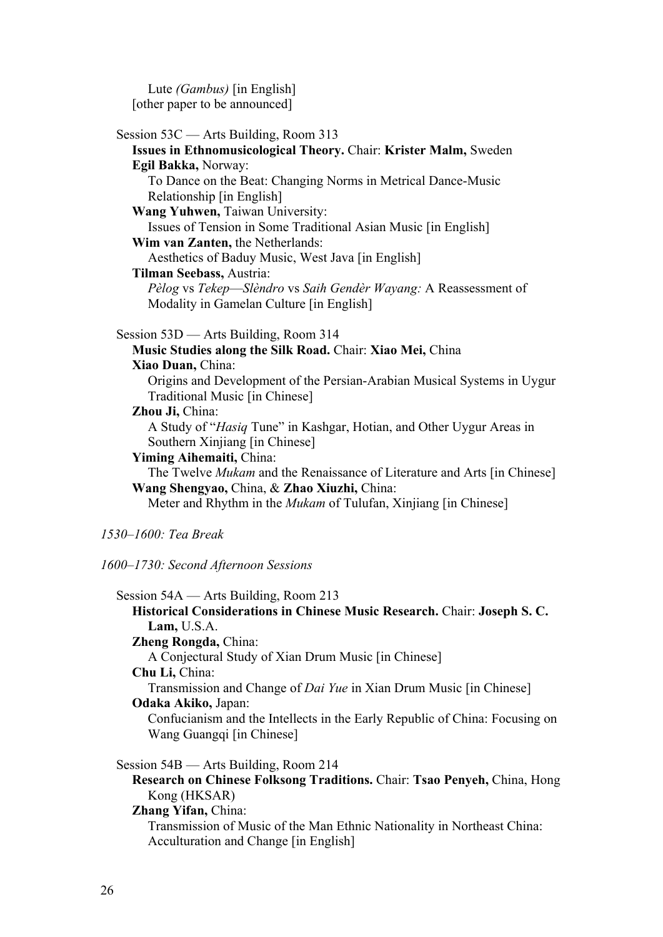Lute *(Gambus)* [in English] [other paper to be announced]

| Session $53C$ — Arts Building, Room 313                                     |
|-----------------------------------------------------------------------------|
| Issues in Ethnomusicological Theory. Chair: Krister Malm, Sweden            |
| Egil Bakka, Norway:                                                         |
| To Dance on the Beat: Changing Norms in Metrical Dance-Music                |
| Relationship [in English]                                                   |
| Wang Yuhwen, Taiwan University:                                             |
| Issues of Tension in Some Traditional Asian Music [in English]              |
| Wim van Zanten, the Netherlands:                                            |
| Aesthetics of Baduy Music, West Java [in English]                           |
| Tilman Seebass, Austria:                                                    |
| Pèlog vs Tekep—Slèndro vs Saih Gendèr Wayang: A Reassessment of             |
| Modality in Gamelan Culture [in English]                                    |
| Session 53D — Arts Building, Room 314                                       |
| Music Studies along the Silk Road. Chair: Xiao Mei, China                   |
| Xiao Duan, China:                                                           |
| Origins and Development of the Persian-Arabian Musical Systems in Uygur     |
| Traditional Music [in Chinese]                                              |
| Zhou Ji, China:                                                             |
| A Study of "Hasiq Tune" in Kashgar, Hotian, and Other Uygur Areas in        |
| Southern Xinjiang [in Chinese]                                              |
| Yiming Aihemaiti, China:                                                    |
| The Twelve Mukam and the Renaissance of Literature and Arts [in Chinese]    |
| Wang Shengyao, China, & Zhao Xiuzhi, China:                                 |
| Meter and Rhythm in the Mukam of Tulufan, Xinjiang [in Chinese]             |
| 1530-1600: Tea Break                                                        |
| 1600–1730: Second Afternoon Sessions                                        |
| Session 54A — Arts Building, Room 213                                       |
| Historical Considerations in Chinese Music Research. Chair: Joseph S. C.    |
| Lam, U.S.A.                                                                 |
| <b>Zheng Rongda</b> , China:                                                |
| A Conjectural Study of Xian Drum Music [in Chinese]                         |
| Chu Li, China:                                                              |
| Transmission and Change of <i>Dai Yue</i> in Xian Drum Music [in Chinese]   |
| Odaka Akiko, Japan:                                                         |
| Confucianism and the Intellects in the Early Republic of China: Focusing on |
| Wang Guangqi [in Chinese]                                                   |
|                                                                             |

Session 54B — Arts Building, Room 214

# **Research on Chinese Folksong Traditions.** Chair: **Tsao Penyeh,** China, Hong Kong (HKSAR)

**Zhang Yifan,** China:

Transmission of Music of the Man Ethnic Nationality in Northeast China: Acculturation and Change [in English]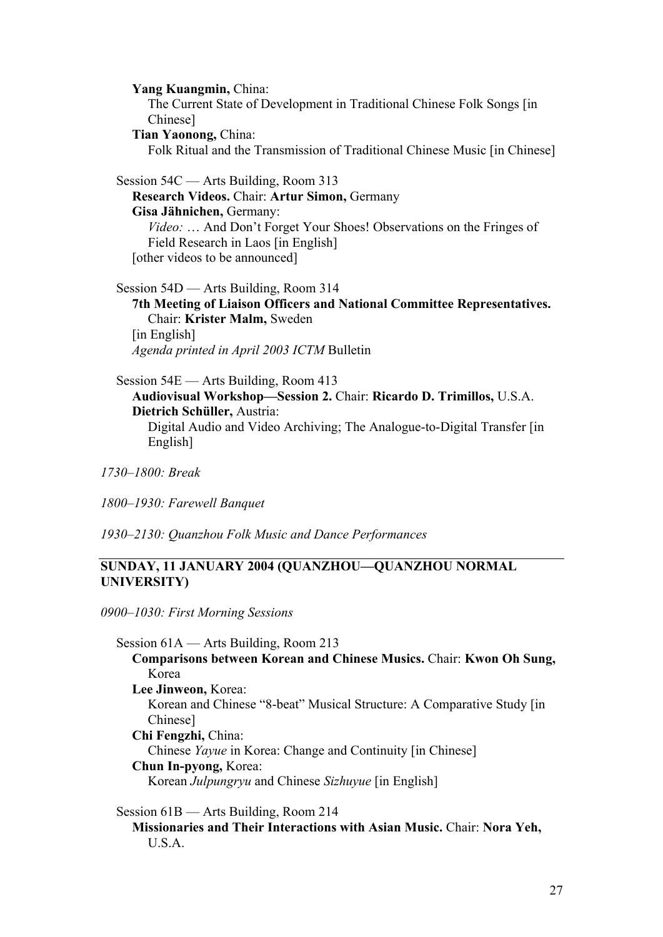**Yang Kuangmin,** China:

The Current State of Development in Traditional Chinese Folk Songs [in Chinese]

**Tian Yaonong,** China:

Folk Ritual and the Transmission of Traditional Chinese Music [in Chinese]

Session 54C — Arts Building, Room 313 **Research Videos.** Chair: **Artur Simon,** Germany **Gisa Jähnichen,** Germany: *Video:* … And Don't Forget Your Shoes! Observations on the Fringes of Field Research in Laos [in English] [other videos to be announced]

Session 54D — Arts Building, Room 314 **7th Meeting of Liaison Officers and National Committee Representatives.**  Chair: **Krister Malm,** Sweden [in English] *Agenda printed in April 2003 ICTM* Bulletin

Session 54E — Arts Building, Room 413 **Audiovisual Workshop—Session 2.** Chair: **Ricardo D. Trimillos,** U.S.A. **Dietrich Schüller,** Austria:

Digital Audio and Video Archiving; The Analogue-to-Digital Transfer [in English]

*1730–1800: Break*

*1800–1930: Farewell Banquet*

*1930–2130: Quanzhou Folk Music and Dance Performances*

# **SUNDAY, 11 JANUARY 2004 (QUANZHOU—QUANZHOU NORMAL UNIVERSITY)**

*0900–1030: First Morning Sessions*

Session 61A — Arts Building, Room 213 **Comparisons between Korean and Chinese Musics.** Chair: **Kwon Oh Sung,**  Korea **Lee Jinweon,** Korea: Korean and Chinese "8-beat" Musical Structure: A Comparative Study [in Chinese] **Chi Fengzhi,** China: Chinese *Yayue* in Korea: Change and Continuity [in Chinese] **Chun In-pyong,** Korea: Korean *Julpungryu* and Chinese *Sizhuyue* [in English] Session 61B — Arts Building, Room 214

**Missionaries and Their Interactions with Asian Music.** Chair: **Nora Yeh,**  U.S.A.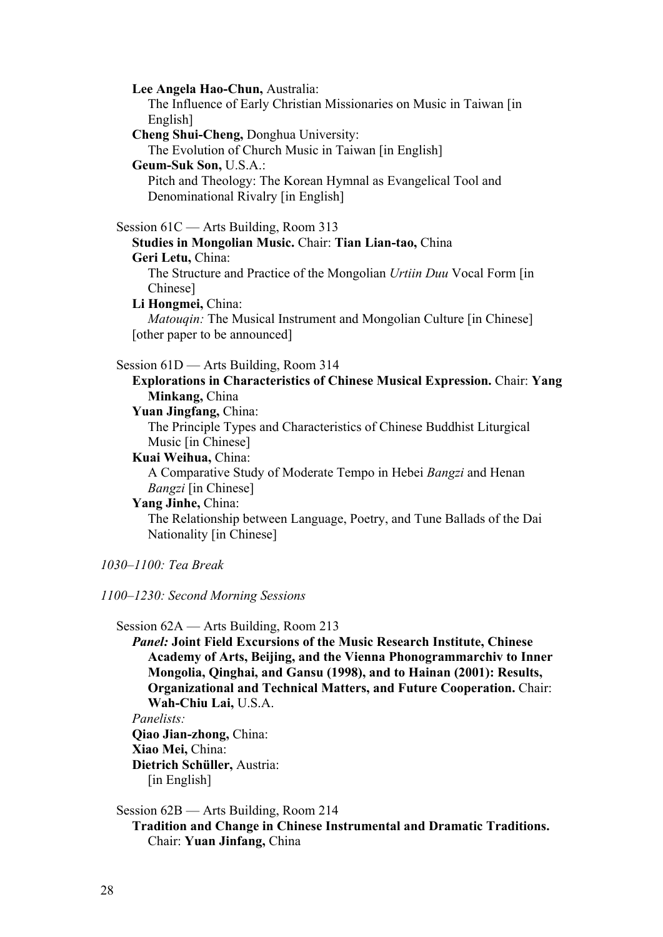**Lee Angela Hao-Chun,** Australia:

The Influence of Early Christian Missionaries on Music in Taiwan [in English]

**Cheng Shui-Cheng,** Donghua University:

The Evolution of Church Music in Taiwan [in English]

#### **Geum-Suk Son,** U.S.A.:

Pitch and Theology: The Korean Hymnal as Evangelical Tool and Denominational Rivalry [in English]

#### Session 61C — Arts Building, Room 313

**Studies in Mongolian Music.** Chair: **Tian Lian-tao,** China **Geri Letu,** China:

The Structure and Practice of the Mongolian *Urtiin Duu* Vocal Form [in Chinese]

#### **Li Hongmei,** China:

*Matouqin:* The Musical Instrument and Mongolian Culture [in Chinese] [other paper to be announced]

#### Session 61D — Arts Building, Room 314

**Explorations in Characteristics of Chinese Musical Expression.** Chair: **Yang Minkang,** China

**Yuan Jingfang,** China:

The Principle Types and Characteristics of Chinese Buddhist Liturgical Music [in Chinese]

#### **Kuai Weihua,** China:

A Comparative Study of Moderate Tempo in Hebei *Bangzi* and Henan *Bangzi* [in Chinese]

#### **Yang Jinhe,** China:

The Relationship between Language, Poetry, and Tune Ballads of the Dai Nationality [in Chinese]

#### *1030–1100: Tea Break*

#### *1100–1230: Second Morning Sessions*

#### Session 62A — Arts Building, Room 213

*Panel:* **Joint Field Excursions of the Music Research Institute, Chinese Academy of Arts, Beijing, and the Vienna Phonogrammarchiv to Inner Mongolia, Qinghai, and Gansu (1998), and to Hainan (2001): Results, Organizational and Technical Matters, and Future Cooperation.** Chair: **Wah-Chiu Lai,** U.S.A.

# *Panelists:*

**Qiao Jian-zhong,** China: **Xiao Mei,** China: **Dietrich Schüller,** Austria: [in English]

Session 62B — Arts Building, Room 214 **Tradition and Change in Chinese Instrumental and Dramatic Traditions.**  Chair: **Yuan Jinfang,** China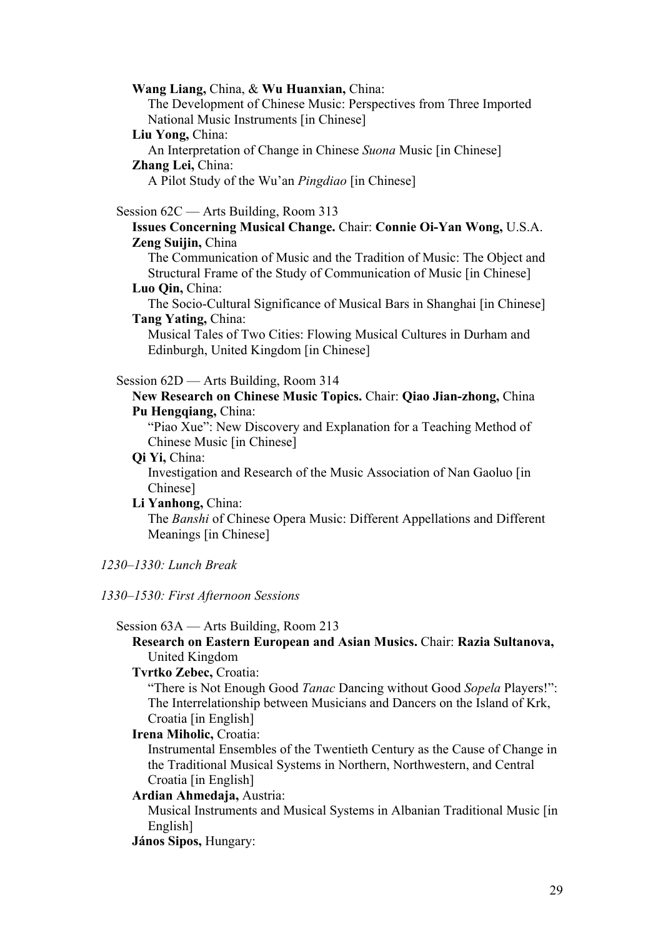# **Wang Liang,** China, & **Wu Huanxian,** China:

The Development of Chinese Music: Perspectives from Three Imported National Music Instruments [in Chinese]

# **Liu Yong,** China:

An Interpretation of Change in Chinese *Suona* Music [in Chinese] **Zhang Lei,** China:

A Pilot Study of the Wu'an *Pingdiao* [in Chinese]

Session 62C — Arts Building, Room 313

# **Issues Concerning Musical Change.** Chair: **Connie Oi-Yan Wong,** U.S.A. **Zeng Suijin,** China

The Communication of Music and the Tradition of Music: The Object and Structural Frame of the Study of Communication of Music [in Chinese] **Luo Qin,** China:

The Socio-Cultural Significance of Musical Bars in Shanghai [in Chinese] **Tang Yating,** China:

Musical Tales of Two Cities: Flowing Musical Cultures in Durham and Edinburgh, United Kingdom [in Chinese]

#### Session 62D — Arts Building, Room 314

# **New Research on Chinese Music Topics.** Chair: **Qiao Jian-zhong,** China **Pu Hengqiang,** China:

"Piao Xue": New Discovery and Explanation for a Teaching Method of Chinese Music [in Chinese]

# **Qi Yi,** China:

Investigation and Research of the Music Association of Nan Gaoluo [in Chinese]

**Li Yanhong,** China:

The *Banshi* of Chinese Opera Music: Different Appellations and Different Meanings [in Chinese]

#### *1230–1330: Lunch Break*

#### *1330–1530: First Afternoon Sessions*

#### Session 63A — Arts Building, Room 213

# **Research on Eastern European and Asian Musics.** Chair: **Razia Sultanova,**  United Kingdom

#### **Tvrtko Zebec,** Croatia:

"There is Not Enough Good *Tanac* Dancing without Good *Sopela* Players!": The Interrelationship between Musicians and Dancers on the Island of Krk, Croatia [in English]

#### **Irena Miholic,** Croatia:

Instrumental Ensembles of the Twentieth Century as the Cause of Change in the Traditional Musical Systems in Northern, Northwestern, and Central Croatia [in English]

#### **Ardian Ahmedaja,** Austria:

Musical Instruments and Musical Systems in Albanian Traditional Music [in English]

#### **János Sipos,** Hungary: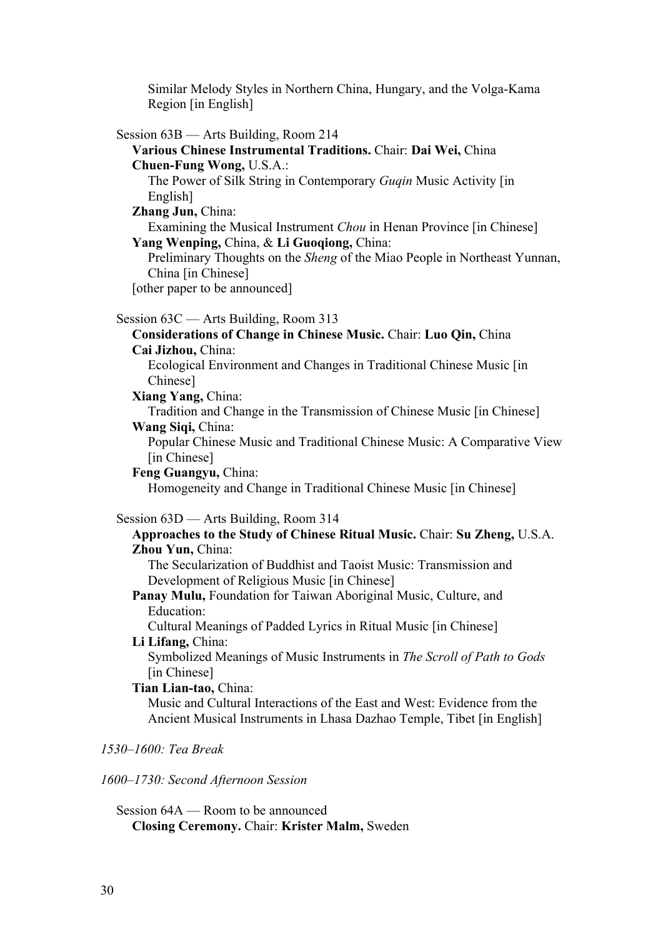Similar Melody Styles in Northern China, Hungary, and the Volga-Kama Region [in English]

| Session 63B — Arts Building, Room 214                                                                                                             |
|---------------------------------------------------------------------------------------------------------------------------------------------------|
| Various Chinese Instrumental Traditions. Chair: Dai Wei, China                                                                                    |
| <b>Chuen-Fung Wong, U.S.A.:</b>                                                                                                                   |
| The Power of Silk String in Contemporary Guqin Music Activity [in                                                                                 |
| English]                                                                                                                                          |
| Zhang Jun, China:                                                                                                                                 |
| Examining the Musical Instrument <i>Chou</i> in Henan Province [in Chinese]                                                                       |
| Yang Wenping, China, & Li Guoqiong, China:                                                                                                        |
| Preliminary Thoughts on the Sheng of the Miao People in Northeast Yunnan,                                                                         |
| China [in Chinese]                                                                                                                                |
| [other paper to be announced]                                                                                                                     |
| Session $63C$ — Arts Building, Room 313                                                                                                           |
| Considerations of Change in Chinese Music. Chair: Luo Qin, China                                                                                  |
| Cai Jizhou, China:                                                                                                                                |
| Ecological Environment and Changes in Traditional Chinese Music [in                                                                               |
| Chinese]                                                                                                                                          |
| Xiang Yang, China:                                                                                                                                |
| Tradition and Change in the Transmission of Chinese Music [in Chinese]                                                                            |
| Wang Siqi, China:                                                                                                                                 |
| Popular Chinese Music and Traditional Chinese Music: A Comparative View                                                                           |
| [in Chinese]                                                                                                                                      |
| Feng Guangyu, China:                                                                                                                              |
| Homogeneity and Change in Traditional Chinese Music [in Chinese]                                                                                  |
| Session 63D — Arts Building, Room 314                                                                                                             |
| Approaches to the Study of Chinese Ritual Music. Chair: Su Zheng, U.S.A.                                                                          |
| Zhou Yun, China:                                                                                                                                  |
| The Secularization of Buddhist and Taoist Music: Transmission and                                                                                 |
| Development of Religious Music [in Chinese]                                                                                                       |
| Panay Mulu, Foundation for Taiwan Aboriginal Music, Culture, and                                                                                  |
| Education:                                                                                                                                        |
| Cultural Meanings of Padded Lyrics in Ritual Music [in Chinese]                                                                                   |
| Li Lifang, China:                                                                                                                                 |
| Symbolized Meanings of Music Instruments in The Scroll of Path to Gods                                                                            |
| [in Chinese]                                                                                                                                      |
| Tian Lian-tao, China:                                                                                                                             |
| Music and Cultural Interactions of the East and West: Evidence from the<br>Ancient Musical Instruments in Lhasa Dazhao Temple, Tibet [in English] |
|                                                                                                                                                   |
| 1530-1600: Tea Break                                                                                                                              |
| 1600–1730: Second Afternoon Session                                                                                                               |

Session 64A — Room to be announced **Closing Ceremony.** Chair: **Krister Malm,** Sweden